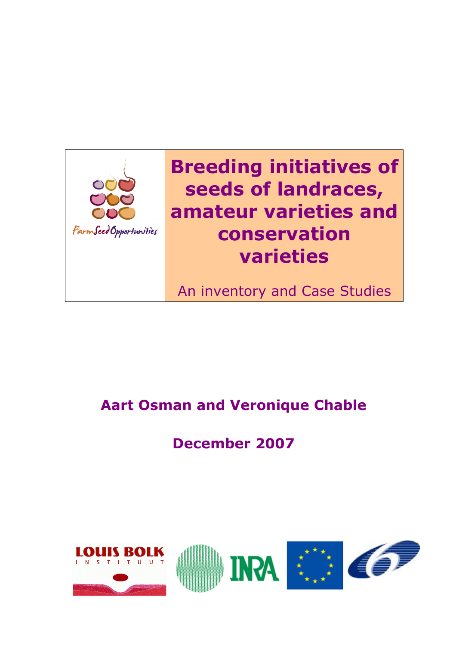

# Breeding initiatives of seeds of landraces, amateur varieties and conservation varieties

An inventory and Case Studies

## Aart Osman and Veronique Chable

## December 2007

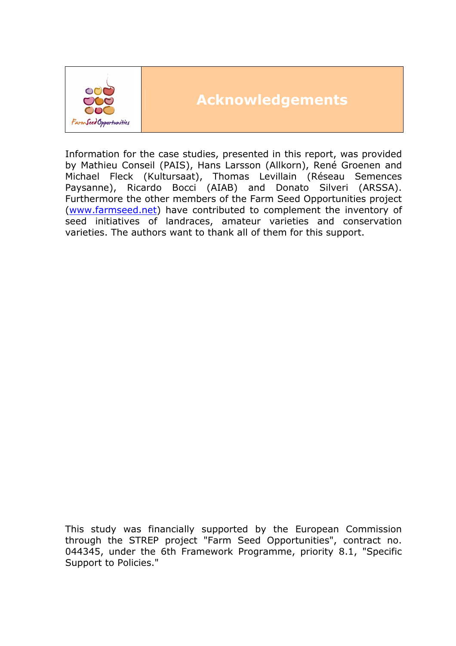

## Acknowledgements

Information for the case studies, presented in this report, was provided by Mathieu Conseil (PAIS), Hans Larsson (Allkorn), René Groenen and Michael Fleck (Kultursaat), Thomas Levillain (Réseau Semences Paysanne), Ricardo Bocci (AIAB) and Donato Silveri (ARSSA). Furthermore the other members of the Farm Seed Opportunities project (www.farmseed.net) have contributed to complement the inventory of seed initiatives of landraces, amateur varieties and conservation varieties. The authors want to thank all of them for this support.

This study was financially supported by the European Commission through the STREP project "Farm Seed Opportunities", contract no. 044345, under the 6th Framework Programme, priority 8.1, "Specific Support to Policies."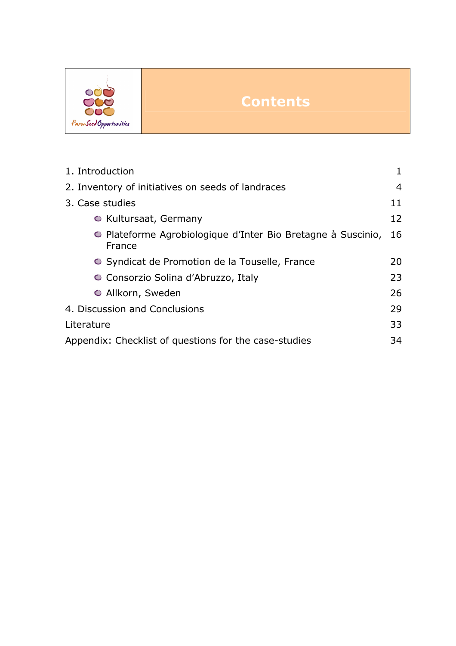

## **Contents**

| 1. Introduction                                                        |    |  |  |  |
|------------------------------------------------------------------------|----|--|--|--|
| 2. Inventory of initiatives on seeds of landraces                      |    |  |  |  |
| 3. Case studies                                                        | 11 |  |  |  |
| O Kultursaat, Germany                                                  | 12 |  |  |  |
| • Plateforme Agrobiologique d'Inter Bio Bretagne à Suscinio,<br>France | 16 |  |  |  |
| • Syndicat de Promotion de la Touselle, France                         | 20 |  |  |  |
| ○ Consorzio Solina d'Abruzzo, Italy                                    | 23 |  |  |  |
| O Allkorn, Sweden                                                      | 26 |  |  |  |
| 4. Discussion and Conclusions                                          | 29 |  |  |  |
| Literature                                                             | 33 |  |  |  |
| Appendix: Checklist of questions for the case-studies<br>34            |    |  |  |  |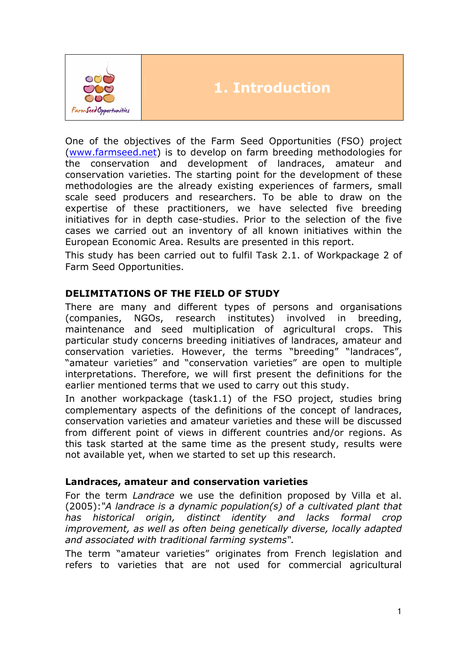

## 1. Introduction

One of the objectives of the Farm Seed Opportunities (FSO) project (www.farmseed.net) is to develop on farm breeding methodologies for the conservation and development of landraces, amateur and conservation varieties. The starting point for the development of these methodologies are the already existing experiences of farmers, small scale seed producers and researchers. To be able to draw on the expertise of these practitioners, we have selected five breeding initiatives for in depth case-studies. Prior to the selection of the five cases we carried out an inventory of all known initiatives within the European Economic Area. Results are presented in this report.

This study has been carried out to fulfil Task 2.1. of Workpackage 2 of Farm Seed Opportunities.

## DELIMITATIONS OF THE FIELD OF STUDY

There are many and different types of persons and organisations (companies, NGOs, research institutes) involved in breeding, maintenance and seed multiplication of agricultural crops. This particular study concerns breeding initiatives of landraces, amateur and conservation varieties. However, the terms "breeding" "landraces", "amateur varieties" and "conservation varieties" are open to multiple interpretations. Therefore, we will first present the definitions for the earlier mentioned terms that we used to carry out this study.

In another workpackage (task1.1) of the FSO project, studies bring complementary aspects of the definitions of the concept of landraces, conservation varieties and amateur varieties and these will be discussed from different point of views in different countries and/or regions. As this task started at the same time as the present study, results were not available yet, when we started to set up this research.

#### Landraces, amateur and conservation varieties

For the term Landrace we use the definition proposed by Villa et al. (2005):"A landrace is a dynamic population(s) of a cultivated plant that has historical origin, distinct identity and lacks formal crop improvement, as well as often being genetically diverse, locally adapted and associated with traditional farming systems".

The term "amateur varieties" originates from French legislation and refers to varieties that are not used for commercial agricultural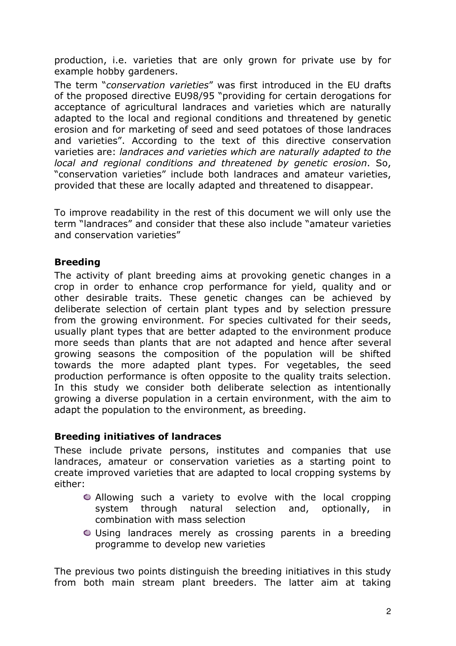production, i.e. varieties that are only grown for private use by for example hobby gardeners.

The term "conservation varieties" was first introduced in the EU drafts of the proposed directive EU98/95 "providing for certain derogations for acceptance of agricultural landraces and varieties which are naturally adapted to the local and regional conditions and threatened by genetic erosion and for marketing of seed and seed potatoes of those landraces and varieties". According to the text of this directive conservation varieties are: landraces and varieties which are naturally adapted to the local and regional conditions and threatened by genetic erosion. So, "conservation varieties" include both landraces and amateur varieties, provided that these are locally adapted and threatened to disappear.

To improve readability in the rest of this document we will only use the term "landraces" and consider that these also include "amateur varieties and conservation varieties"

## Breeding

The activity of plant breeding aims at provoking genetic changes in a crop in order to enhance crop performance for yield, quality and or other desirable traits. These genetic changes can be achieved by deliberate selection of certain plant types and by selection pressure from the growing environment. For species cultivated for their seeds, usually plant types that are better adapted to the environment produce more seeds than plants that are not adapted and hence after several growing seasons the composition of the population will be shifted towards the more adapted plant types. For vegetables, the seed production performance is often opposite to the quality traits selection. In this study we consider both deliberate selection as intentionally growing a diverse population in a certain environment, with the aim to adapt the population to the environment, as breeding.

### Breeding initiatives of landraces

These include private persons, institutes and companies that use landraces, amateur or conservation varieties as a starting point to create improved varieties that are adapted to local cropping systems by either:

- Allowing such a variety to evolve with the local cropping system through natural selection and, optionally, in combination with mass selection
- Using landraces merely as crossing parents in a breeding programme to develop new varieties

The previous two points distinguish the breeding initiatives in this study from both main stream plant breeders. The latter aim at taking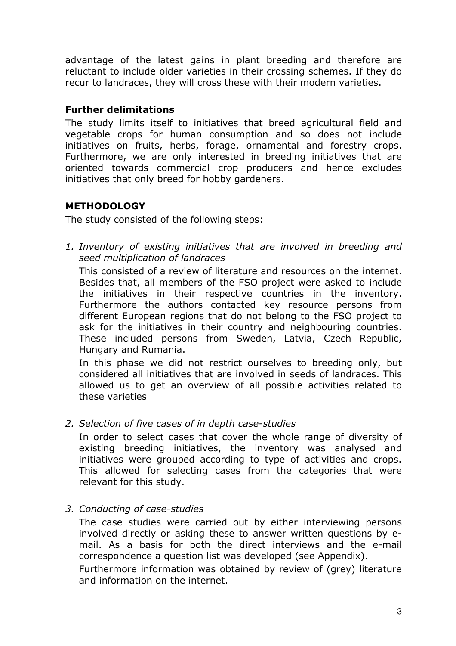advantage of the latest gains in plant breeding and therefore are reluctant to include older varieties in their crossing schemes. If they do recur to landraces, they will cross these with their modern varieties.

#### Further delimitations

The study limits itself to initiatives that breed agricultural field and vegetable crops for human consumption and so does not include initiatives on fruits, herbs, forage, ornamental and forestry crops. Furthermore, we are only interested in breeding initiatives that are oriented towards commercial crop producers and hence excludes initiatives that only breed for hobby gardeners.

## METHODOLOGY

The study consisted of the following steps:

1. Inventory of existing initiatives that are involved in breeding and seed multiplication of landraces

This consisted of a review of literature and resources on the internet. Besides that, all members of the FSO project were asked to include the initiatives in their respective countries in the inventory. Furthermore the authors contacted key resource persons from different European regions that do not belong to the FSO project to ask for the initiatives in their country and neighbouring countries. These included persons from Sweden, Latvia, Czech Republic, Hungary and Rumania.

In this phase we did not restrict ourselves to breeding only, but considered all initiatives that are involved in seeds of landraces. This allowed us to get an overview of all possible activities related to these varieties

2. Selection of five cases of in depth case-studies

In order to select cases that cover the whole range of diversity of existing breeding initiatives, the inventory was analysed and initiatives were grouped according to type of activities and crops. This allowed for selecting cases from the categories that were relevant for this study.

3. Conducting of case-studies

The case studies were carried out by either interviewing persons involved directly or asking these to answer written questions by email. As a basis for both the direct interviews and the e-mail correspondence a question list was developed (see Appendix).

Furthermore information was obtained by review of (grey) literature and information on the internet.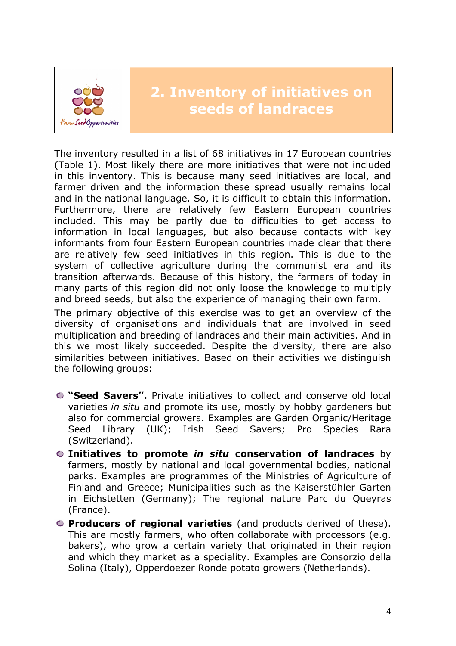

The inventory resulted in a list of 68 initiatives in 17 European countries (Table 1). Most likely there are more initiatives that were not included in this inventory. This is because many seed initiatives are local, and farmer driven and the information these spread usually remains local and in the national language. So, it is difficult to obtain this information. Furthermore, there are relatively few Eastern European countries included. This may be partly due to difficulties to get access to information in local languages, but also because contacts with key informants from four Eastern European countries made clear that there are relatively few seed initiatives in this region. This is due to the system of collective agriculture during the communist era and its transition afterwards. Because of this history, the farmers of today in many parts of this region did not only loose the knowledge to multiply and breed seeds, but also the experience of managing their own farm.

The primary objective of this exercise was to get an overview of the diversity of organisations and individuals that are involved in seed multiplication and breeding of landraces and their main activities. And in this we most likely succeeded. Despite the diversity, there are also similarities between initiatives. Based on their activities we distinguish the following groups:

- "Seed Savers". Private initiatives to collect and conserve old local varieties in situ and promote its use, mostly by hobby gardeners but also for commercial growers. Examples are Garden Organic/Heritage Seed Library (UK); Irish Seed Savers; Pro Species Rara (Switzerland).
- $\bullet$  Initiatives to promote in situ conservation of landraces by farmers, mostly by national and local governmental bodies, national parks. Examples are programmes of the Ministries of Agriculture of Finland and Greece; Municipalities such as the Kaiserstühler Garten in Eichstetten (Germany); The regional nature Parc du Queyras (France).
- **O** Producers of regional varieties (and products derived of these). This are mostly farmers, who often collaborate with processors (e.g. bakers), who grow a certain variety that originated in their region and which they market as a speciality. Examples are Consorzio della Solina (Italy), Opperdoezer Ronde potato growers (Netherlands).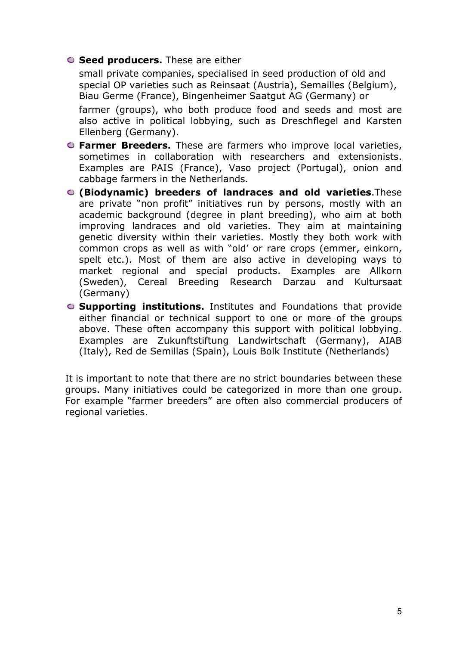#### **O Seed producers.** These are either

small private companies, specialised in seed production of old and special OP varieties such as Reinsaat (Austria), Semailles (Belgium), Biau Germe (France), Bingenheimer Saatgut AG (Germany) or farmer (groups), who both produce food and seeds and most are also active in political lobbying, such as Dreschflegel and Karsten Ellenberg (Germany).

- **C** Farmer Breeders. These are farmers who improve local varieties, sometimes in collaboration with researchers and extensionists. Examples are PAIS (France), Vaso project (Portugal), onion and cabbage farmers in the Netherlands.
- (Biodynamic) breeders of landraces and old varieties.These are private "non profit" initiatives run by persons, mostly with an academic background (degree in plant breeding), who aim at both improving landraces and old varieties. They aim at maintaining genetic diversity within their varieties. Mostly they both work with common crops as well as with "old' or rare crops (emmer, einkorn, spelt etc.). Most of them are also active in developing ways to market regional and special products. Examples are Allkorn (Sweden), Cereal Breeding Research Darzau and Kultursaat (Germany)
- **C** Supporting institutions. Institutes and Foundations that provide either financial or technical support to one or more of the groups above. These often accompany this support with political lobbying. Examples are Zukunftstiftung Landwirtschaft (Germany), AIAB (Italy), Red de Semillas (Spain), Louis Bolk Institute (Netherlands)

It is important to note that there are no strict boundaries between these groups. Many initiatives could be categorized in more than one group. For example "farmer breeders" are often also commercial producers of regional varieties.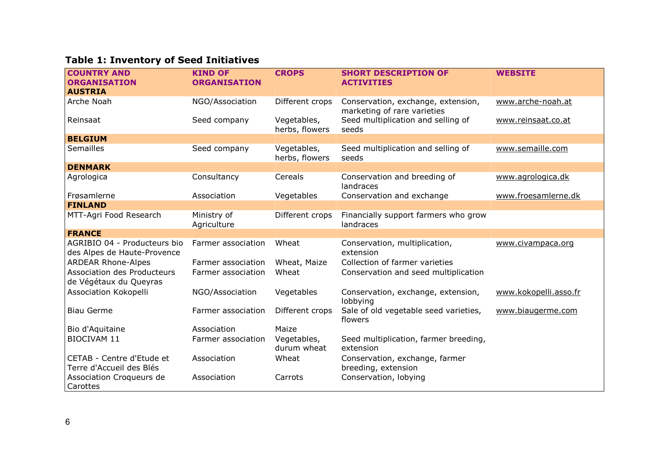## Table 1: Inventory of Seed Initiatives

| <b>COUNTRY AND</b>                                           | <b>KIND OF</b>             | <b>CROPS</b>                  | <b>SHORT DESCRIPTION OF</b>                                       | <b>WEBSITE</b>        |
|--------------------------------------------------------------|----------------------------|-------------------------------|-------------------------------------------------------------------|-----------------------|
| <b>ORGANISATION</b>                                          | <b>ORGANISATION</b>        |                               | <b>ACTIVITIES</b>                                                 |                       |
| <b>AUSTRIA</b>                                               |                            |                               |                                                                   |                       |
| Arche Noah                                                   | NGO/Association            | Different crops               | Conservation, exchange, extension,<br>marketing of rare varieties | www.arche-noah.at     |
| Reinsaat                                                     | Seed company               | Vegetables,<br>herbs, flowers | Seed multiplication and selling of<br>seeds                       | www.reinsaat.co.at    |
| <b>BELGIUM</b>                                               |                            |                               |                                                                   |                       |
| Semailles                                                    | Seed company               | Vegetables,<br>herbs, flowers | Seed multiplication and selling of<br>seeds                       | www.semaille.com      |
| <b>DENMARK</b>                                               |                            |                               |                                                                   |                       |
| Agrologica                                                   | Consultancy                | Cereals                       | Conservation and breeding of<br>landraces                         | www.agrologica.dk     |
| Frøsamlerne                                                  | Association                | Vegetables                    | Conservation and exchange                                         | www.froesamlerne.dk   |
| <b>FINLAND</b>                                               |                            |                               |                                                                   |                       |
| MTT-Agri Food Research                                       | Ministry of<br>Agriculture | Different crops               | Financially support farmers who grow<br>landraces                 |                       |
| <b>FRANCE</b>                                                |                            |                               |                                                                   |                       |
| AGRIBIO 04 - Producteurs bio<br>des Alpes de Haute-Provence  | Farmer association         | Wheat                         | Conservation, multiplication,<br>extension                        | www.civampaca.org     |
| <b>ARDEAR Rhone-Alpes</b>                                    | Farmer association         | Wheat, Maize                  | Collection of farmer varieties                                    |                       |
| <b>Association des Producteurs</b><br>de Végétaux du Queyras | Farmer association         | Wheat                         | Conservation and seed multiplication                              |                       |
| Association Kokopelli                                        | NGO/Association            | Vegetables                    | Conservation, exchange, extension,<br>lobbying                    | www.kokopelli.asso.fr |
| <b>Biau Germe</b>                                            | Farmer association         | Different crops               | Sale of old vegetable seed varieties,<br>flowers                  | www.biaugerme.com     |
| Bio d'Aquitaine                                              | Association                | Maize                         |                                                                   |                       |
| BIOCIVAM 11                                                  | Farmer association         | Vegetables,<br>durum wheat    | Seed multiplication, farmer breeding,<br>extension                |                       |
| CETAB - Centre d'Etude et<br>Terre d'Accueil des Blés        | Association                | Wheat                         | Conservation, exchange, farmer<br>breeding, extension             |                       |
| Association Croqueurs de<br>Carottes                         | Association                | Carrots                       | Conservation, lobying                                             |                       |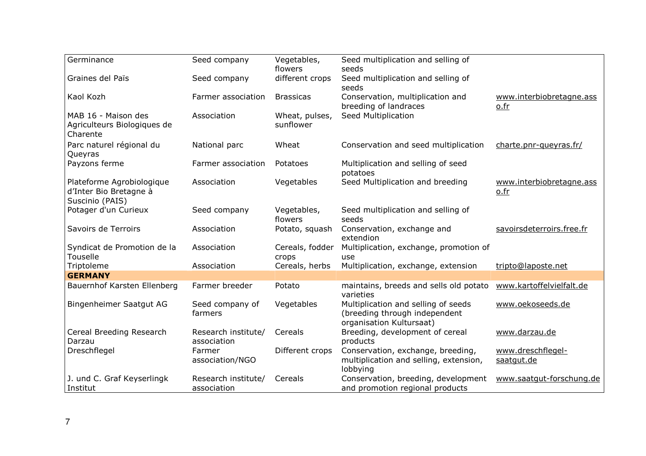| Germinance                  | Seed company        | Vegetables,      | Seed multiplication and selling of     |                           |
|-----------------------------|---------------------|------------------|----------------------------------------|---------------------------|
|                             |                     | flowers          | seeds                                  |                           |
| Graines del Païs            | Seed company        | different crops  | Seed multiplication and selling of     |                           |
|                             |                     |                  | seeds                                  |                           |
| Kaol Kozh                   | Farmer association  | <b>Brassicas</b> | Conservation, multiplication and       | www.interbiobretagne.ass  |
|                             |                     |                  | breeding of landraces                  | o.fr                      |
| MAB 16 - Maison des         | Association         | Wheat, pulses,   | Seed Multiplication                    |                           |
| Agriculteurs Biologiques de |                     | sunflower        |                                        |                           |
| Charente                    |                     |                  |                                        |                           |
| Parc naturel régional du    | National parc       | Wheat            | Conservation and seed multiplication   | charte.pnr-queyras.fr/    |
| Queyras                     |                     |                  |                                        |                           |
| Payzons ferme               | Farmer association  | Potatoes         | Multiplication and selling of seed     |                           |
|                             |                     |                  | potatoes                               |                           |
| Plateforme Agrobiologique   | Association         | Vegetables       | Seed Multiplication and breeding       | www.interbiobretagne.ass  |
| d'Inter Bio Bretagne à      |                     |                  |                                        | o.fr                      |
| Suscinio (PAIS)             |                     |                  |                                        |                           |
| Potager d'un Curieux        | Seed company        | Vegetables,      | Seed multiplication and selling of     |                           |
|                             |                     | flowers          | seeds                                  |                           |
| Savoirs de Terroirs         | Association         | Potato, squash   | Conservation, exchange and             | savoirsdeterroirs.free.fr |
|                             |                     |                  | extendion                              |                           |
| Syndicat de Promotion de la | Association         | Cereals, fodder  | Multiplication, exchange, promotion of |                           |
| Touselle                    |                     | crops            | use                                    |                           |
| Triptoleme                  | Association         | Cereals, herbs   | Multiplication, exchange, extension    | tripto@laposte.net        |
| <b>GERMANY</b>              |                     |                  |                                        |                           |
| Bauernhof Karsten Ellenberg | Farmer breeder      | Potato           | maintains, breeds and sells old potato | www.kartoffelvielfalt.de  |
|                             |                     |                  | varieties                              |                           |
| Bingenheimer Saatgut AG     | Seed company of     | Vegetables       | Multiplication and selling of seeds    | www.oekoseeds.de          |
|                             | farmers             |                  | (breeding through independent          |                           |
|                             |                     |                  | organisation Kultursaat)               |                           |
| Cereal Breeding Research    | Research institute/ | Cereals          | Breeding, development of cereal        | www.darzau.de             |
| Darzau                      | association         |                  | products                               |                           |
| Dreschflegel                | Farmer              | Different crops  | Conservation, exchange, breeding,      | www.dreschflegel-         |
|                             | association/NGO     |                  | multiplication and selling, extension, | saatgut.de                |
|                             |                     |                  | lobbying                               |                           |
| J. und C. Graf Keyserlingk  | Research institute/ | Cereals          | Conservation, breeding, development    | www.saatqut-forschung.de  |
| Institut                    | association         |                  | and promotion regional products        |                           |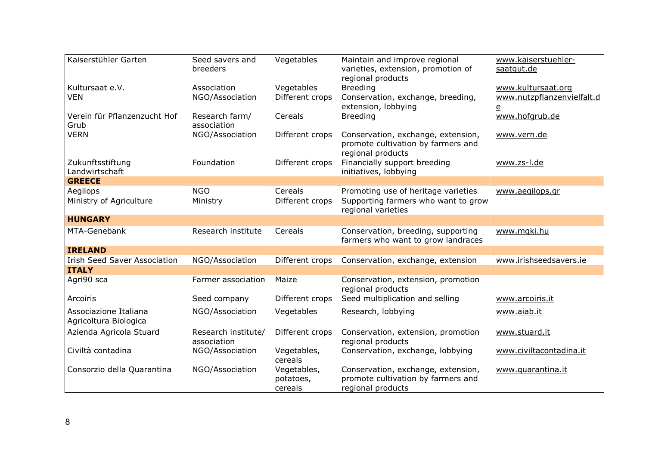| Kaiserstühler Garten                           | Seed savers and<br>breeders        | Vegetables                          | Maintain and improve regional<br>varieties, extension, promotion of<br>regional products         | www.kaiserstuehler-<br>saatgut.de                      |
|------------------------------------------------|------------------------------------|-------------------------------------|--------------------------------------------------------------------------------------------------|--------------------------------------------------------|
| Kultursaat e.V.                                | Association                        | Vegetables                          | <b>Breeding</b>                                                                                  | www.kultursaat.org                                     |
| <b>VEN</b>                                     | NGO/Association                    | Different crops                     | Conservation, exchange, breeding,<br>extension, lobbying                                         | www.nutzpflanzenvielfalt.d<br>$\underline{\mathsf{e}}$ |
| Verein für Pflanzenzucht Hof<br>Grub           | Research farm/<br>association      | Cereals                             | <b>Breeding</b>                                                                                  | www.hofgrub.de                                         |
| <b>VERN</b>                                    | NGO/Association                    | Different crops                     | Conservation, exchange, extension,<br>promote cultivation by farmers and<br>regional products    | www.vern.de                                            |
| Zukunftsstiftung<br>Landwirtschaft             | Foundation                         | Different crops                     | Financially support breeding<br>initiatives, lobbying                                            | www.zs-l.de                                            |
| <b>GREECE</b>                                  |                                    |                                     |                                                                                                  |                                                        |
| Aegilops<br>Ministry of Agriculture            | <b>NGO</b><br>Ministry             | Cereals<br>Different crops          | Promoting use of heritage varieties<br>Supporting farmers who want to grow<br>regional varieties | www.aegilops.gr                                        |
| <b>HUNGARY</b>                                 |                                    |                                     |                                                                                                  |                                                        |
| MTA-Genebank                                   | Research institute                 | Cereals                             | Conservation, breeding, supporting<br>farmers who want to grow landraces                         | www.mgki.hu                                            |
| <b>IRELAND</b>                                 |                                    |                                     |                                                                                                  |                                                        |
| <b>Irish Seed Saver Association</b>            | NGO/Association                    | Different crops                     | Conservation, exchange, extension                                                                | www.irishseedsavers.ie                                 |
| <b>ITALY</b>                                   |                                    |                                     |                                                                                                  |                                                        |
| Agri90 sca                                     | Farmer association                 | Maize                               | Conservation, extension, promotion<br>regional products                                          |                                                        |
| Arcoiris                                       | Seed company                       | Different crops                     | Seed multiplication and selling                                                                  | www.arcoiris.it                                        |
| Associazione Italiana<br>Agricoltura Biologica | NGO/Association                    | Vegetables                          | Research, lobbying                                                                               | www.aiab.it                                            |
| Azienda Agricola Stuard                        | Research institute/<br>association | Different crops                     | Conservation, extension, promotion<br>regional products                                          | www.stuard.it                                          |
| Civiltà contadina                              | NGO/Association                    | Vegetables,<br>cereals              | Conservation, exchange, lobbying                                                                 | www.civiltacontadina.it                                |
| Consorzio della Quarantina                     | NGO/Association                    | Vegetables,<br>potatoes,<br>cereals | Conservation, exchange, extension,<br>promote cultivation by farmers and<br>regional products    | www.quarantina.it                                      |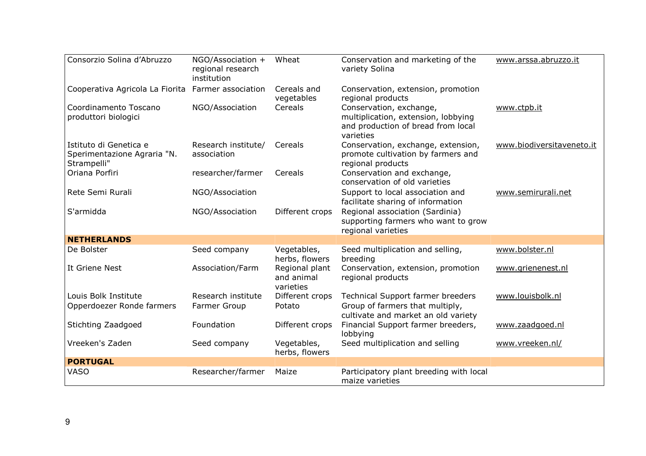| Consorzio Solina d'Abruzzo                                           | NGO/Association +<br>regional research<br>institution | Wheat                                     | Conservation and marketing of the<br>variety Solina                                                               | www.arssa.abruzzo.it      |
|----------------------------------------------------------------------|-------------------------------------------------------|-------------------------------------------|-------------------------------------------------------------------------------------------------------------------|---------------------------|
| Cooperativa Agricola La Fiorita                                      | Farmer association                                    | Cereals and<br>vegetables                 | Conservation, extension, promotion<br>regional products                                                           |                           |
| Coordinamento Toscano<br>produttori biologici                        | NGO/Association                                       | Cereals                                   | Conservation, exchange,<br>multiplication, extension, lobbying<br>and production of bread from local<br>varieties | www.ctpb.it               |
| Istituto di Genetica e<br>Sperimentazione Agraria "N.<br>Strampelli" | Research institute/<br>association                    | Cereals                                   | Conservation, exchange, extension,<br>promote cultivation by farmers and<br>regional products                     | www.biodiversitaveneto.it |
| Oriana Porfiri                                                       | researcher/farmer                                     | Cereals                                   | Conservation and exchange,<br>conservation of old varieties                                                       |                           |
| Rete Semi Rurali                                                     | NGO/Association                                       |                                           | Support to local association and<br>facilitate sharing of information                                             | www.semirurali.net        |
| S'armidda                                                            | NGO/Association                                       | Different crops                           | Regional association (Sardinia)<br>supporting farmers who want to grow<br>regional varieties                      |                           |
| <b>NETHERLANDS</b>                                                   |                                                       |                                           |                                                                                                                   |                           |
| De Bolster                                                           | Seed company                                          | Vegetables,<br>herbs, flowers             | Seed multiplication and selling,<br>breeding                                                                      | www.bolster.nl            |
| It Griene Nest                                                       | Association/Farm                                      | Regional plant<br>and animal<br>varieties | Conservation, extension, promotion<br>regional products                                                           | www.grienenest.nl         |
| Louis Bolk Institute<br>Opperdoezer Ronde farmers                    | Research institute<br>Farmer Group                    | Different crops<br>Potato                 | Technical Support farmer breeders<br>Group of farmers that multiply,<br>cultivate and market an old variety       | www.louisbolk.nl          |
| Stichting Zaadgoed                                                   | Foundation                                            | Different crops                           | Financial Support farmer breeders,<br>lobbying                                                                    | www.zaadgoed.nl           |
| Vreeken's Zaden                                                      | Seed company                                          | Vegetables,<br>herbs, flowers             | Seed multiplication and selling                                                                                   | www.vreeken.nl/           |
| <b>PORTUGAL</b>                                                      |                                                       |                                           |                                                                                                                   |                           |
| <b>VASO</b>                                                          | Researcher/farmer                                     | Maize                                     | Participatory plant breeding with local<br>maize varieties                                                        |                           |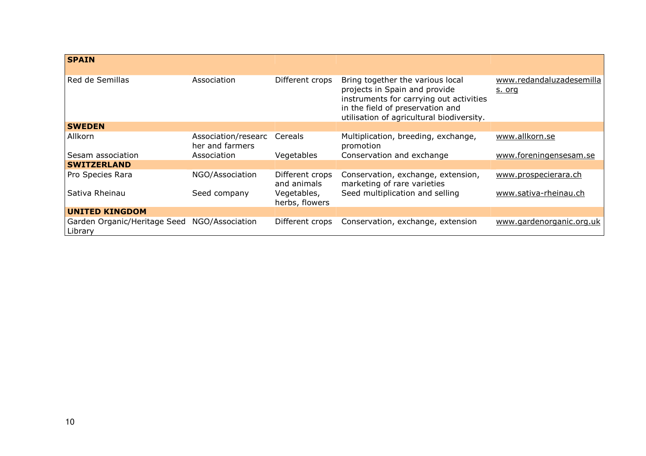| <b>SPAIN</b>                            |                                        |                                |                                                                                                                                                                                               |                                    |
|-----------------------------------------|----------------------------------------|--------------------------------|-----------------------------------------------------------------------------------------------------------------------------------------------------------------------------------------------|------------------------------------|
| Red de Semillas                         | Association                            | Different crops                | Bring together the various local<br>projects in Spain and provide<br>instruments for carrying out activities<br>in the field of preservation and<br>utilisation of agricultural biodiversity. | www.redandaluzadesemilla<br>s. org |
| <b>SWEDEN</b>                           |                                        |                                |                                                                                                                                                                                               |                                    |
| Allkorn                                 | Association/researc<br>her and farmers | Cereals                        | Multiplication, breeding, exchange,<br>promotion                                                                                                                                              | www.allkorn.se                     |
| Sesam association                       | Association                            | Vegetables                     | Conservation and exchange                                                                                                                                                                     | www.foreningensesam.se             |
| <b>SWITZERLAND</b>                      |                                        |                                |                                                                                                                                                                                               |                                    |
| Pro Species Rara                        | NGO/Association                        | Different crops<br>and animals | Conservation, exchange, extension,<br>marketing of rare varieties                                                                                                                             | www.prospecierara.ch               |
| Sativa Rheinau                          | Seed company                           | Vegetables,<br>herbs, flowers  | Seed multiplication and selling                                                                                                                                                               | www.sativa-rheinau.ch              |
| <b>UNITED KINGDOM</b>                   |                                        |                                |                                                                                                                                                                                               |                                    |
| Garden Organic/Heritage Seed<br>Library | NGO/Association                        | Different crops                | Conservation, exchange, extension                                                                                                                                                             | www.gardenorganic.org.uk           |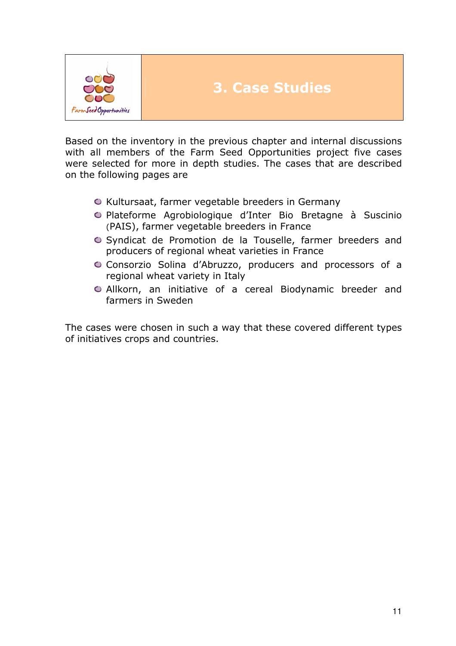

Based on the inventory in the previous chapter and internal discussions with all members of the Farm Seed Opportunities project five cases were selected for more in depth studies. The cases that are described on the following pages are

- $\bullet$  Kultursaat, farmer vegetable breeders in Germany
- Plateforme Agrobiologique d'Inter Bio Bretagne à Suscinio (PAIS), farmer vegetable breeders in France
- Syndicat de Promotion de la Touselle, farmer breeders and producers of regional wheat varieties in France
- Consorzio Solina d'Abruzzo, producers and processors of a regional wheat variety in Italy
- Allkorn, an initiative of a cereal Biodynamic breeder and farmers in Sweden

The cases were chosen in such a way that these covered different types of initiatives crops and countries.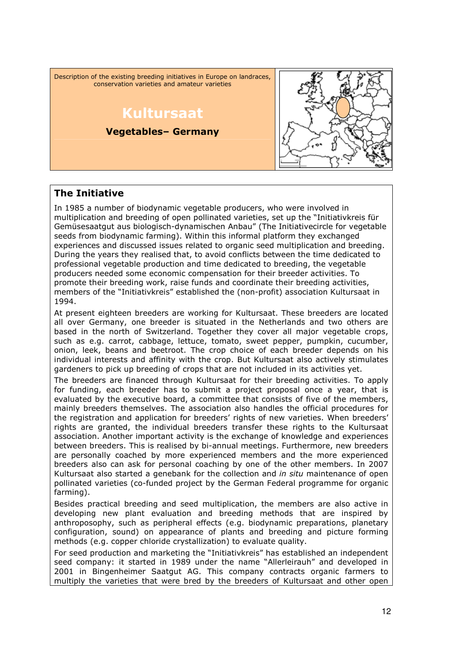Description of the existing breeding initiatives in Europe on landraces, conservation varieties and amateur varieties Kultursaat Vegetables– Germany

### The Initiative

In 1985 a number of biodynamic vegetable producers, who were involved in multiplication and breeding of open pollinated varieties, set up the "Initiativkreis für Gemüsesaatgut aus biologisch-dynamischen Anbau" (The Initiativecircle for vegetable seeds from biodynamic farming). Within this informal platform they exchanged experiences and discussed issues related to organic seed multiplication and breeding. During the years they realised that, to avoid conflicts between the time dedicated to professional vegetable production and time dedicated to breeding, the vegetable producers needed some economic compensation for their breeder activities. To promote their breeding work, raise funds and coordinate their breeding activities, members of the "Initiativkreis" established the (non-profit) association Kultursaat in 1994.

At present eighteen breeders are working for Kultursaat. These breeders are located all over Germany, one breeder is situated in the Netherlands and two others are based in the north of Switzerland. Together they cover all major vegetable crops, such as e.g. carrot, cabbage, lettuce, tomato, sweet pepper, pumpkin, cucumber, onion, leek, beans and beetroot. The crop choice of each breeder depends on his individual interests and affinity with the crop. But Kultursaat also actively stimulates gardeners to pick up breeding of crops that are not included in its activities yet.

The breeders are financed through Kultursaat for their breeding activities. To apply for funding, each breeder has to submit a project proposal once a year, that is evaluated by the executive board, a committee that consists of five of the members, mainly breeders themselves. The association also handles the official procedures for the registration and application for breeders' rights of new varieties. When breeders' rights are granted, the individual breeders transfer these rights to the Kultursaat association. Another important activity is the exchange of knowledge and experiences between breeders. This is realised by bi-annual meetings. Furthermore, new breeders are personally coached by more experienced members and the more experienced breeders also can ask for personal coaching by one of the other members. In 2007 Kultursaat also started a genebank for the collection and in situ maintenance of open pollinated varieties (co-funded project by the German Federal programme for organic farming).

Besides practical breeding and seed multiplication, the members are also active in developing new plant evaluation and breeding methods that are inspired by anthroposophy, such as peripheral effects (e.g. biodynamic preparations, planetary configuration, sound) on appearance of plants and breeding and picture forming methods (e.g. copper chloride crystallization) to evaluate quality.

For seed production and marketing the "Initiativkreis" has established an independent seed company: it started in 1989 under the name "Allerleirauh" and developed in 2001 in Bingenheimer Saatgut AG. This company contracts organic farmers to multiply the varieties that were bred by the breeders of Kultursaat and other open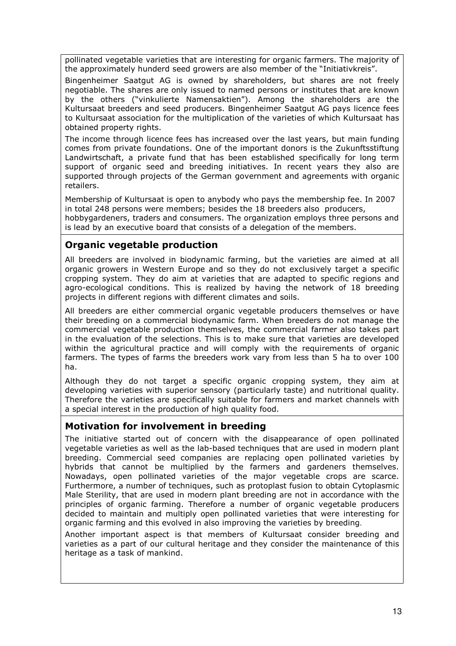pollinated vegetable varieties that are interesting for organic farmers. The majority of the approximately hunderd seed growers are also member of the "Initiativkreis".

Bingenheimer Saatgut AG is owned by shareholders, but shares are not freely negotiable. The shares are only issued to named persons or institutes that are known by the others ("vinkulierte Namensaktien"). Among the shareholders are the Kultursaat breeders and seed producers. Bingenheimer Saatgut AG pays licence fees to Kultursaat association for the multiplication of the varieties of which Kultursaat has obtained property rights.

The income through licence fees has increased over the last years, but main funding comes from private foundations. One of the important donors is the Zukunftsstiftung Landwirtschaft, a private fund that has been established specifically for long term support of organic seed and breeding initiatives. In recent years they also are supported through projects of the German government and agreements with organic retailers.

Membership of Kultursaat is open to anybody who pays the membership fee. In 2007 in total 248 persons were members; besides the 18 breeders also producers, hobbygardeners, traders and consumers. The organization employs three persons and is lead by an executive board that consists of a delegation of the members.

## Organic vegetable production

All breeders are involved in biodynamic farming, but the varieties are aimed at all organic growers in Western Europe and so they do not exclusively target a specific cropping system. They do aim at varieties that are adapted to specific regions and agro-ecological conditions. This is realized by having the network of 18 breeding projects in different regions with different climates and soils.

All breeders are either commercial organic vegetable producers themselves or have their breeding on a commercial biodynamic farm. When breeders do not manage the commercial vegetable production themselves, the commercial farmer also takes part in the evaluation of the selections. This is to make sure that varieties are developed within the agricultural practice and will comply with the requirements of organic farmers. The types of farms the breeders work vary from less than 5 ha to over 100 ha.

Although they do not target a specific organic cropping system, they aim at developing varieties with superior sensory (particularly taste) and nutritional quality. Therefore the varieties are specifically suitable for farmers and market channels with a special interest in the production of high quality food.

#### Motivation for involvement in breeding

The initiative started out of concern with the disappearance of open pollinated vegetable varieties as well as the lab-based techniques that are used in modern plant breeding. Commercial seed companies are replacing open pollinated varieties by hybrids that cannot be multiplied by the farmers and gardeners themselves. Nowadays, open pollinated varieties of the major vegetable crops are scarce. Furthermore, a number of techniques, such as protoplast fusion to obtain Cytoplasmic Male Sterility, that are used in modern plant breeding are not in accordance with the principles of organic farming. Therefore a number of organic vegetable producers decided to maintain and multiply open pollinated varieties that were interesting for organic farming and this evolved in also improving the varieties by breeding.

Another important aspect is that members of Kultursaat consider breeding and varieties as a part of our cultural heritage and they consider the maintenance of this heritage as a task of mankind.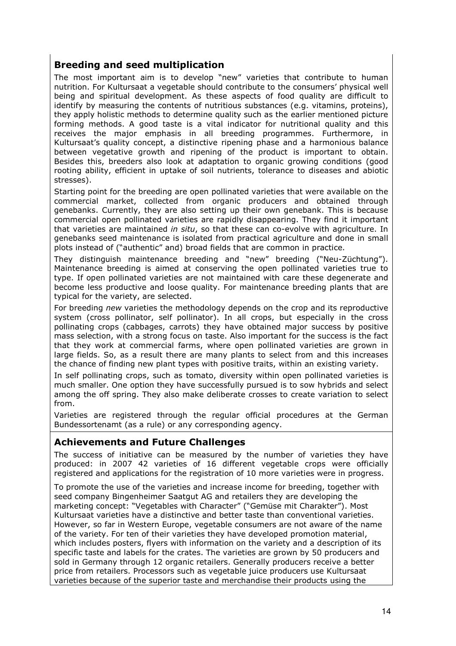#### Breeding and seed multiplication

The most important aim is to develop "new" varieties that contribute to human nutrition. For Kultursaat a vegetable should contribute to the consumers' physical well being and spiritual development. As these aspects of food quality are difficult to identify by measuring the contents of nutritious substances (e.g. vitamins, proteins), they apply holistic methods to determine quality such as the earlier mentioned picture forming methods. A good taste is a vital indicator for nutritional quality and this receives the major emphasis in all breeding programmes. Furthermore, in Kultursaat's quality concept, a distinctive ripening phase and a harmonious balance between vegetative growth and ripening of the product is important to obtain. Besides this, breeders also look at adaptation to organic growing conditions (good rooting ability, efficient in uptake of soil nutrients, tolerance to diseases and abiotic stresses).

Starting point for the breeding are open pollinated varieties that were available on the commercial market, collected from organic producers and obtained through genebanks. Currently, they are also setting up their own genebank. This is because commercial open pollinated varieties are rapidly disappearing. They find it important that varieties are maintained in situ, so that these can co-evolve with agriculture. In genebanks seed maintenance is isolated from practical agriculture and done in small plots instead of ("authentic" and) broad fields that are common in practice.

They distinguish maintenance breeding and "new" breeding ("Neu-Züchtung"). Maintenance breeding is aimed at conserving the open pollinated varieties true to type. If open pollinated varieties are not maintained with care these degenerate and become less productive and loose quality. For maintenance breeding plants that are typical for the variety, are selected.

For breeding new varieties the methodology depends on the crop and its reproductive system (cross pollinator, self pollinator). In all crops, but especially in the cross pollinating crops (cabbages, carrots) they have obtained major success by positive mass selection, with a strong focus on taste. Also important for the success is the fact that they work at commercial farms, where open pollinated varieties are grown in large fields. So, as a result there are many plants to select from and this increases the chance of finding new plant types with positive traits, within an existing variety.

In self pollinating crops, such as tomato, diversity within open pollinated varieties is much smaller. One option they have successfully pursued is to sow hybrids and select among the off spring. They also make deliberate crosses to create variation to select from.

Varieties are registered through the regular official procedures at the German Bundessortenamt (as a rule) or any corresponding agency.

#### Achievements and Future Challenges

The success of initiative can be measured by the number of varieties they have produced: in 2007 42 varieties of 16 different vegetable crops were officially registered and applications for the registration of 10 more varieties were in progress.

To promote the use of the varieties and increase income for breeding, together with seed company Bingenheimer Saatgut AG and retailers they are developing the marketing concept: "Vegetables with Character" ("Gemüse mit Charakter"). Most Kultursaat varieties have a distinctive and better taste than conventional varieties. However, so far in Western Europe, vegetable consumers are not aware of the name of the variety. For ten of their varieties they have developed promotion material, which includes posters, flyers with information on the variety and a description of its specific taste and labels for the crates. The varieties are grown by 50 producers and sold in Germany through 12 organic retailers. Generally producers receive a better price from retailers. Processors such as vegetable juice producers use Kultursaat varieties because of the superior taste and merchandise their products using the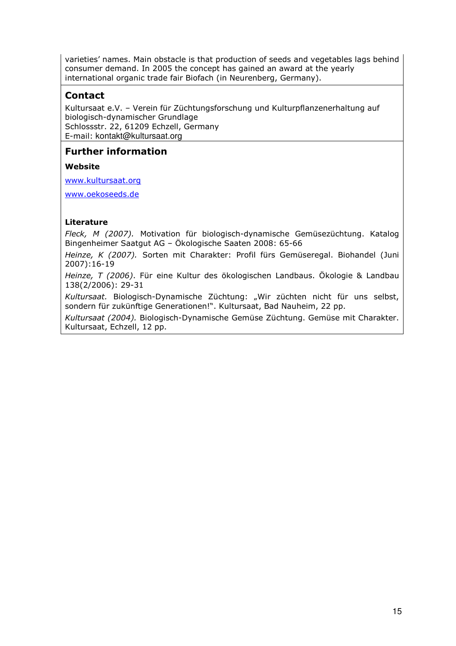varieties' names. Main obstacle is that production of seeds and vegetables lags behind consumer demand. In 2005 the concept has gained an award at the yearly international organic trade fair Biofach (in Neurenberg, Germany).

#### Contact

Kultursaat e.V. – Verein für Züchtungsforschung und Kulturpflanzenerhaltung auf biologisch-dynamischer Grundlage Schlossstr. 22, 61209 Echzell, Germany E-mail: kontakt@kultursaat.org

#### Further information

#### Website

www.kultursaat.org

www.oekoseeds.de

#### Literature

Fleck, M (2007). Motivation für biologisch-dynamische Gemüsezüchtung. Katalog Bingenheimer Saatgut AG – Ökologische Saaten 2008: 65-66

Heinze, K (2007). Sorten mit Charakter: Profil fürs Gemüseregal. Biohandel (Juni 2007):16-19

Heinze, T (2006). Für eine Kultur des ökologischen Landbaus. Ökologie & Landbau 138(2/2006): 29-31

Kultursaat. Biologisch-Dynamische Züchtung: "Wir züchten nicht für uns selbst, sondern für zukünftige Generationen!". Kultursaat, Bad Nauheim, 22 pp.

Kultursaat (2004). Biologisch-Dynamische Gemüse Züchtung. Gemüse mit Charakter. Kultursaat, Echzell, 12 pp.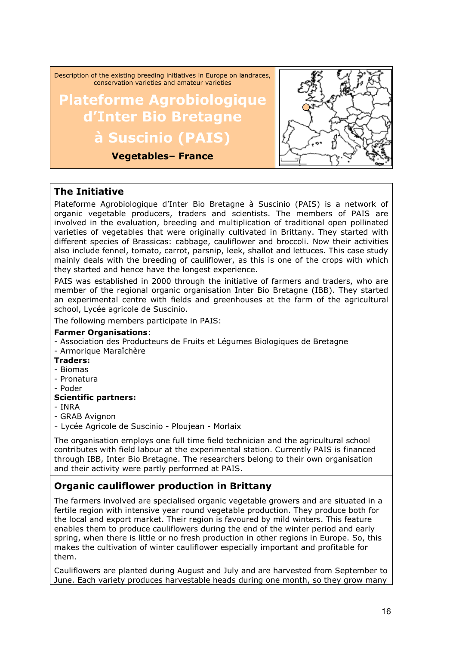Description of the existing breeding initiatives in Europe on landraces, conservation varieties and amateur varieties

## Plateforme Agrobiologique d'Inter Bio Bretagne à Suscinio (PAIS)

Vegetables– France



#### The Initiative

Plateforme Agrobiologique d'Inter Bio Bretagne à Suscinio (PAIS) is a network of organic vegetable producers, traders and scientists. The members of PAIS are involved in the evaluation, breeding and multiplication of traditional open pollinated varieties of vegetables that were originally cultivated in Brittany. They started with different species of Brassicas: cabbage, cauliflower and broccoli. Now their activities also include fennel, tomato, carrot, parsnip, leek, shallot and lettuces. This case study mainly deals with the breeding of cauliflower, as this is one of the crops with which they started and hence have the longest experience.

PAIS was established in 2000 through the initiative of farmers and traders, who are member of the regional organic organisation Inter Bio Bretagne (IBB). They started an experimental centre with fields and greenhouses at the farm of the agricultural school, Lycée agricole de Suscinio.

The following members participate in PAIS:

#### Farmer Organisations:

- Association des Producteurs de Fruits et Légumes Biologiques de Bretagne - Armorique Maraîchère
- Traders:
- Biomas
- Pronatura
- Poder

#### Scientific partners:

- INRA
- GRAB Avignon
- Lycée Agricole de Suscinio Ploujean Morlaix

The organisation employs one full time field technician and the agricultural school contributes with field labour at the experimental station. Currently PAIS is financed through IBB, Inter Bio Bretagne. The researchers belong to their own organisation and their activity were partly performed at PAIS.

### Organic cauliflower production in Brittany

The farmers involved are specialised organic vegetable growers and are situated in a fertile region with intensive year round vegetable production. They produce both for the local and export market. Their region is favoured by mild winters. This feature enables them to produce cauliflowers during the end of the winter period and early spring, when there is little or no fresh production in other regions in Europe. So, this makes the cultivation of winter cauliflower especially important and profitable for them.

Cauliflowers are planted during August and July and are harvested from September to June. Each variety produces harvestable heads during one month, so they grow many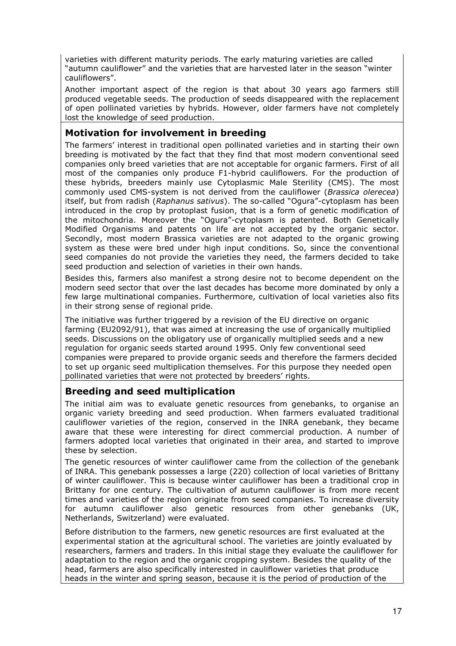varieties with different maturity periods. The early maturing varieties are called "autumn cauliflower" and the varieties that are harvested later in the season "winter cauliflowers".

Another important aspect of the region is that about 30 years ago farmers still produced vegetable seeds. The production of seeds disappeared with the replacement of open pollinated varieties by hybrids. However, older farmers have not completely lost the knowledge of seed production.

#### Motivation for involvement in breeding

The farmers' interest in traditional open pollinated varieties and in starting their own breeding is motivated by the fact that they find that most modern conventional seed companies only breed varieties that are not acceptable for organic farmers. First of all most of the companies only produce F1-hybrid cauliflowers. For the production of these hybrids, breeders mainly use Cytoplasmic Male Sterility (CMS). The most commonly used CMS-system is not derived from the cauliflower (Brassica olerecea) itself, but from radish (Raphanus sativus). The so-called "Ogura"-cytoplasm has been introduced in the crop by protoplast fusion, that is a form of genetic modification of the mitochondria. Moreover the "Ogura"-cytoplasm is patented. Both Genetically Modified Organisms and patents on life are not accepted by the organic sector. Secondly, most modern Brassica varieties are not adapted to the organic growing system as these were bred under high input conditions. So, since the conventional seed companies do not provide the varieties they need, the farmers decided to take seed production and selection of varieties in their own hands.

Besides this, farmers also manifest a strong desire not to become dependent on the modern seed sector that over the last decades has become more dominated by only a few large multinational companies. Furthermore, cultivation of local varieties also fits in their strong sense of regional pride.

The initiative was further triggered by a revision of the EU directive on organic farming (EU2092/91), that was aimed at increasing the use of organically multiplied seeds. Discussions on the obligatory use of organically multiplied seeds and a new regulation for organic seeds started around 1995. Only few conventional seed companies were prepared to provide organic seeds and therefore the farmers decided to set up organic seed multiplication themselves. For this purpose they needed open pollinated varieties that were not protected by breeders' rights.

#### Breeding and seed multiplication

The initial aim was to evaluate genetic resources from genebanks, to organise an organic variety breeding and seed production. When farmers evaluated traditional cauliflower varieties of the region, conserved in the INRA genebank, they became aware that these were interesting for direct commercial production. A number of farmers adopted local varieties that originated in their area, and started to improve these by selection.

The genetic resources of winter cauliflower came from the collection of the genebank of INRA. This genebank possesses a large (220) collection of local varieties of Brittany of winter cauliflower. This is because winter cauliflower has been a traditional crop in Brittany for one century. The cultivation of autumn cauliflower is from more recent times and varieties of the region originate from seed companies. To increase diversity for autumn cauliflower also genetic resources from other genebanks (UK, Netherlands, Switzerland) were evaluated.

Before distribution to the farmers, new genetic resources are first evaluated at the experimental station at the agricultural school. The varieties are jointly evaluated by researchers, farmers and traders. In this initial stage they evaluate the cauliflower for adaptation to the region and the organic cropping system. Besides the quality of the head, farmers are also specifically interested in cauliflower varieties that produce heads in the winter and spring season, because it is the period of production of the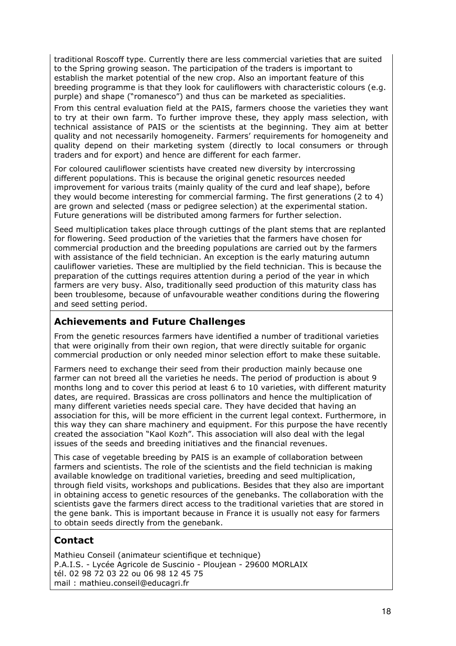traditional Roscoff type. Currently there are less commercial varieties that are suited to the Spring growing season. The participation of the traders is important to establish the market potential of the new crop. Also an important feature of this breeding programme is that they look for cauliflowers with characteristic colours (e.g. purple) and shape ("romanesco") and thus can be marketed as specialities.

From this central evaluation field at the PAIS, farmers choose the varieties they want to try at their own farm. To further improve these, they apply mass selection, with technical assistance of PAIS or the scientists at the beginning. They aim at better quality and not necessarily homogeneity. Farmers' requirements for homogeneity and quality depend on their marketing system (directly to local consumers or through traders and for export) and hence are different for each farmer.

For coloured cauliflower scientists have created new diversity by intercrossing different populations. This is because the original genetic resources needed improvement for various traits (mainly quality of the curd and leaf shape), before they would become interesting for commercial farming. The first generations (2 to 4) are grown and selected (mass or pedigree selection) at the experimental station. Future generations will be distributed among farmers for further selection.

Seed multiplication takes place through cuttings of the plant stems that are replanted for flowering. Seed production of the varieties that the farmers have chosen for commercial production and the breeding populations are carried out by the farmers with assistance of the field technician. An exception is the early maturing autumn cauliflower varieties. These are multiplied by the field technician. This is because the preparation of the cuttings requires attention during a period of the year in which farmers are very busy. Also, traditionally seed production of this maturity class has been troublesome, because of unfavourable weather conditions during the flowering and seed setting period.

#### Achievements and Future Challenges

From the genetic resources farmers have identified a number of traditional varieties that were originally from their own region, that were directly suitable for organic commercial production or only needed minor selection effort to make these suitable.

Farmers need to exchange their seed from their production mainly because one farmer can not breed all the varieties he needs. The period of production is about 9 months long and to cover this period at least 6 to 10 varieties, with different maturity dates, are required. Brassicas are cross pollinators and hence the multiplication of many different varieties needs special care. They have decided that having an association for this, will be more efficient in the current legal context. Furthermore, in this way they can share machinery and equipment. For this purpose the have recently created the association "Kaol Kozh". This association will also deal with the legal issues of the seeds and breeding initiatives and the financial revenues.

This case of vegetable breeding by PAIS is an example of collaboration between farmers and scientists. The role of the scientists and the field technician is making available knowledge on traditional varieties, breeding and seed multiplication, through field visits, workshops and publications. Besides that they also are important in obtaining access to genetic resources of the genebanks. The collaboration with the scientists gave the farmers direct access to the traditional varieties that are stored in the gene bank. This is important because in France it is usually not easy for farmers to obtain seeds directly from the genebank.

### Contact

Mathieu Conseil (animateur scientifique et technique) P.A.I.S. - Lycée Agricole de Suscinio - Ploujean - 29600 MORLAIX tél. 02 98 72 03 22 ou 06 98 12 45 75 mail : mathieu.conseil@educagri.fr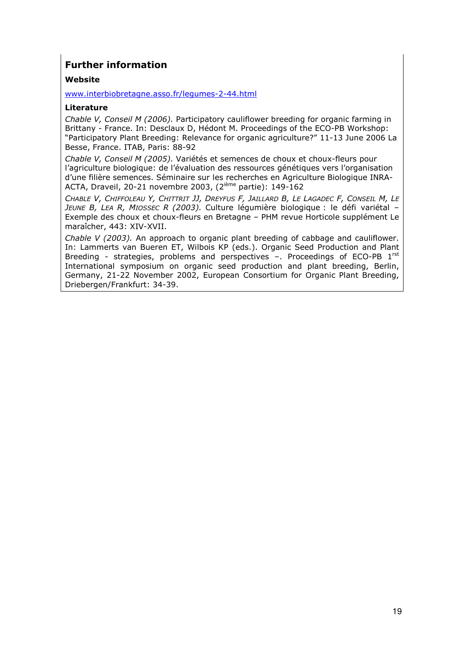### Further information

#### Website

www.interbiobretagne.asso.fr/legumes-2-44.html

#### Literature

Chable V, Conseil M (2006). Participatory cauliflower breeding for organic farming in Brittany - France. In: Desclaux D, Hédont M. Proceedings of the ECO-PB Workshop: "Participatory Plant Breeding: Relevance for organic agriculture?" 11-13 June 2006 La Besse, France. ITAB, Paris: 88-92

Chable V, Conseil M (2005). Variétés et semences de choux et choux-fleurs pour l'agriculture biologique: de l'évaluation des ressources génétiques vers l'organisation d'une filière semences. Séminaire sur les recherches en Agriculture Biologique INRA-ACTA, Draveil, 20-21 novembre 2003, (2ième partie): 149-162

CHABLE V, CHIFFOLEAU Y, CHITTRIT JJ, DREYFUS F, JAILLARD B, LE LAGADEC F, CONSEIL M, LE JEUNE B, LEA R, MIOSSEC R (2003). Culture légumière biologique : le défi variétal -Exemple des choux et choux-fleurs en Bretagne – PHM revue Horticole supplément Le maraîcher, 443: XIV-XVII.

Chable V (2003). An approach to organic plant breeding of cabbage and cauliflower. In: Lammerts van Bueren ET, Wilbois KP (eds.). Organic Seed Production and Plant Breeding - strategies, problems and perspectives  $-$ . Proceedings of ECO-PB  $1^{\text{rst}}$ International symposium on organic seed production and plant breeding, Berlin, Germany, 21-22 November 2002, European Consortium for Organic Plant Breeding, Driebergen/Frankfurt: 34-39.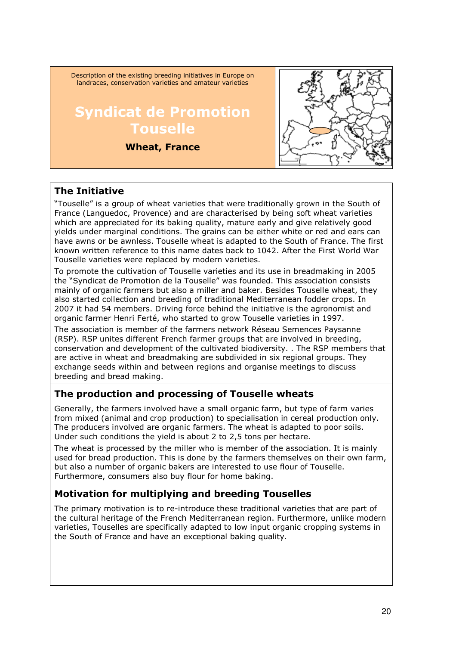Description of the existing breeding initiatives in Europe on landraces, conservation varieties and amateur varieties

## Syndicat de Promotion **Touselle**

#### Wheat, France



#### The Initiative

"Touselle" is a group of wheat varieties that were traditionally grown in the South of France (Languedoc, Provence) and are characterised by being soft wheat varieties which are appreciated for its baking quality, mature early and give relatively good yields under marginal conditions. The grains can be either white or red and ears can have awns or be awnless. Touselle wheat is adapted to the South of France. The first known written reference to this name dates back to 1042. After the First World War Touselle varieties were replaced by modern varieties.

To promote the cultivation of Touselle varieties and its use in breadmaking in 2005 the "Syndicat de Promotion de la Touselle" was founded. This association consists mainly of organic farmers but also a miller and baker. Besides Touselle wheat, they also started collection and breeding of traditional Mediterranean fodder crops. In 2007 it had 54 members. Driving force behind the initiative is the agronomist and organic farmer Henri Ferté, who started to grow Touselle varieties in 1997.

The association is member of the farmers network Réseau Semences Paysanne (RSP). RSP unites different French farmer groups that are involved in breeding, conservation and development of the cultivated biodiversity. . The RSP members that are active in wheat and breadmaking are subdivided in six regional groups. They exchange seeds within and between regions and organise meetings to discuss breeding and bread making.

### The production and processing of Touselle wheats

Generally, the farmers involved have a small organic farm, but type of farm varies from mixed (animal and crop production) to specialisation in cereal production only. The producers involved are organic farmers. The wheat is adapted to poor soils. Under such conditions the yield is about 2 to 2,5 tons per hectare.

The wheat is processed by the miller who is member of the association. It is mainly used for bread production. This is done by the farmers themselves on their own farm, but also a number of organic bakers are interested to use flour of Touselle. Furthermore, consumers also buy flour for home baking.

### Motivation for multiplying and breeding Touselles

The primary motivation is to re-introduce these traditional varieties that are part of the cultural heritage of the French Mediterranean region. Furthermore, unlike modern varieties, Touselles are specifically adapted to low input organic cropping systems in the South of France and have an exceptional baking quality.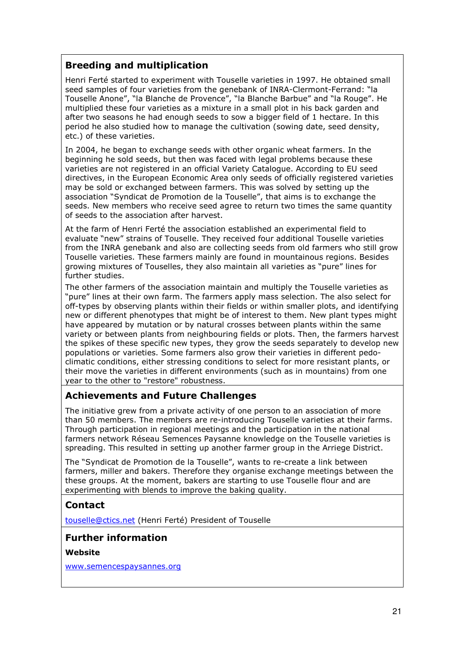#### Breeding and multiplication

Henri Ferté started to experiment with Touselle varieties in 1997. He obtained small seed samples of four varieties from the genebank of INRA-Clermont-Ferrand: "la Touselle Anone", "la Blanche de Provence", "la Blanche Barbue" and "la Rouge". He multiplied these four varieties as a mixture in a small plot in his back garden and after two seasons he had enough seeds to sow a bigger field of 1 hectare. In this period he also studied how to manage the cultivation (sowing date, seed density, etc.) of these varieties.

In 2004, he began to exchange seeds with other organic wheat farmers. In the beginning he sold seeds, but then was faced with legal problems because these varieties are not registered in an official Variety Catalogue. According to EU seed directives, in the European Economic Area only seeds of officially registered varieties may be sold or exchanged between farmers. This was solved by setting up the association "Syndicat de Promotion de la Touselle", that aims is to exchange the seeds. New members who receive seed agree to return two times the same quantity of seeds to the association after harvest.

At the farm of Henri Ferté the association established an experimental field to evaluate "new" strains of Touselle. They received four additional Touselle varieties from the INRA genebank and also are collecting seeds from old farmers who still grow Touselle varieties. These farmers mainly are found in mountainous regions. Besides growing mixtures of Touselles, they also maintain all varieties as "pure" lines for further studies.

The other farmers of the association maintain and multiply the Touselle varieties as "pure" lines at their own farm. The farmers apply mass selection. The also select for off-types by observing plants within their fields or within smaller plots, and identifying new or different phenotypes that might be of interest to them. New plant types might have appeared by mutation or by natural crosses between plants within the same variety or between plants from neighbouring fields or plots. Then, the farmers harvest the spikes of these specific new types, they grow the seeds separately to develop new populations or varieties. Some farmers also grow their varieties in different pedoclimatic conditions, either stressing conditions to select for more resistant plants, or their move the varieties in different environments (such as in mountains) from one year to the other to "restore" robustness.

#### Achievements and Future Challenges

The initiative grew from a private activity of one person to an association of more than 50 members. The members are re-introducing Touselle varieties at their farms. Through participation in regional meetings and the participation in the national farmers network Réseau Semences Paysanne knowledge on the Touselle varieties is spreading. This resulted in setting up another farmer group in the Arriege District.

The "Syndicat de Promotion de la Touselle", wants to re-create a link between farmers, miller and bakers. Therefore they organise exchange meetings between the these groups. At the moment, bakers are starting to use Touselle flour and are experimenting with blends to improve the baking quality.

## Contact

touselle@ctics.net (Henri Ferté) President of Touselle

#### Further information

#### Website

www.semencespaysannes.org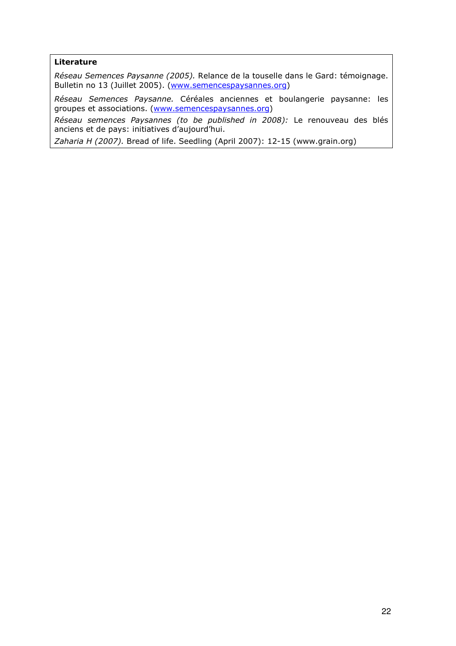#### Literature

Réseau Semences Paysanne (2005). Relance de la touselle dans le Gard: témoignage. Bulletin no 13 (Juillet 2005). (www.semencespaysannes.org)

Réseau Semences Paysanne. Céréales anciennes et boulangerie paysanne: les groupes et associations. (www.semencespaysannes.org)

Réseau semences Paysannes (to be published in 2008): Le renouveau des blés anciens et de pays: initiatives d'aujourd'hui.

Zaharia H (2007). Bread of life. Seedling (April 2007): 12-15 (www.grain.org)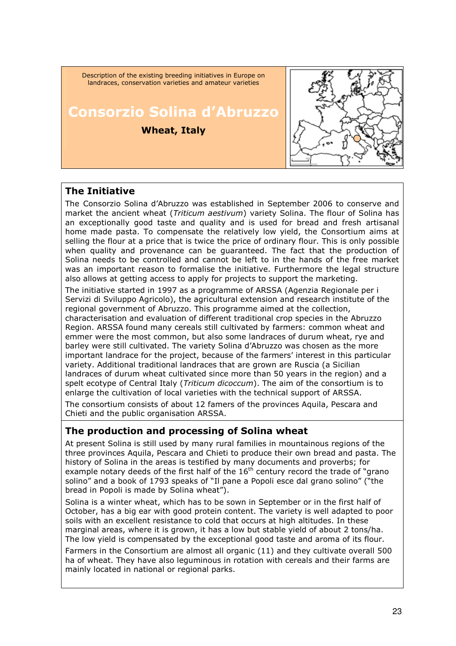

#### The Initiative

The Consorzio Solina d'Abruzzo was established in September 2006 to conserve and market the ancient wheat (*Triticum aestivum*) variety Solina. The flour of Solina has an exceptionally good taste and quality and is used for bread and fresh artisanal home made pasta. To compensate the relatively low yield, the Consortium aims at selling the flour at a price that is twice the price of ordinary flour. This is only possible when quality and provenance can be guaranteed. The fact that the production of Solina needs to be controlled and cannot be left to in the hands of the free market was an important reason to formalise the initiative. Furthermore the legal structure also allows at getting access to apply for projects to support the marketing.

The initiative started in 1997 as a programme of ARSSA (Agenzia Regionale per i Servizi di Sviluppo Agricolo), the agricultural extension and research institute of the regional government of Abruzzo. This programme aimed at the collection, characterisation and evaluation of different traditional crop species in the Abruzzo Region. ARSSA found many cereals still cultivated by farmers: common wheat and emmer were the most common, but also some landraces of durum wheat, rye and barley were still cultivated. The variety Solina d'Abruzzo was chosen as the more important landrace for the project, because of the farmers' interest in this particular variety. Additional traditional landraces that are grown are Ruscia (a Sicilian landraces of durum wheat cultivated since more than 50 years in the region) and a spelt ecotype of Central Italy (Triticum dicoccum). The aim of the consortium is to enlarge the cultivation of local varieties with the technical support of ARSSA.

The consortium consists of about 12 famers of the provinces Aquila, Pescara and Chieti and the public organisation ARSSA.

#### The production and processing of Solina wheat

At present Solina is still used by many rural families in mountainous regions of the three provinces Aquila, Pescara and Chieti to produce their own bread and pasta. The history of Solina in the areas is testified by many documents and proverbs; for example notary deeds of the first half of the  $16<sup>th</sup>$  century record the trade of "grano" solino" and a book of 1793 speaks of "Il pane a Popoli esce dal grano solino" ("the bread in Popoli is made by Solina wheat").

Solina is a winter wheat, which has to be sown in September or in the first half of October, has a big ear with good protein content. The variety is well adapted to poor soils with an excellent resistance to cold that occurs at high altitudes. In these marginal areas, where it is grown, it has a low but stable yield of about 2 tons/ha. The low yield is compensated by the exceptional good taste and aroma of its flour.

Farmers in the Consortium are almost all organic (11) and they cultivate overall 500 ha of wheat. They have also leguminous in rotation with cereals and their farms are mainly located in national or regional parks.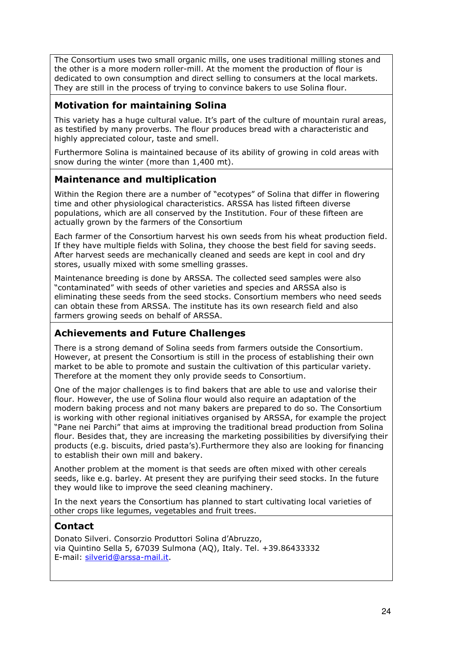The Consortium uses two small organic mills, one uses traditional milling stones and the other is a more modern roller-mill. At the moment the production of flour is dedicated to own consumption and direct selling to consumers at the local markets. They are still in the process of trying to convince bakers to use Solina flour.

#### Motivation for maintaining Solina

This variety has a huge cultural value. It's part of the culture of mountain rural areas, as testified by many proverbs. The flour produces bread with a characteristic and highly appreciated colour, taste and smell.

Furthermore Solina is maintained because of its ability of growing in cold areas with snow during the winter (more than 1,400 mt).

### Maintenance and multiplication

Within the Region there are a number of "ecotypes" of Solina that differ in flowering time and other physiological characteristics. ARSSA has listed fifteen diverse populations, which are all conserved by the Institution. Four of these fifteen are actually grown by the farmers of the Consortium

Each farmer of the Consortium harvest his own seeds from his wheat production field. If they have multiple fields with Solina, they choose the best field for saving seeds. After harvest seeds are mechanically cleaned and seeds are kept in cool and dry stores, usually mixed with some smelling grasses.

Maintenance breeding is done by ARSSA. The collected seed samples were also "contaminated" with seeds of other varieties and species and ARSSA also is eliminating these seeds from the seed stocks. Consortium members who need seeds can obtain these from ARSSA. The institute has its own research field and also farmers growing seeds on behalf of ARSSA.

### Achievements and Future Challenges

There is a strong demand of Solina seeds from farmers outside the Consortium. However, at present the Consortium is still in the process of establishing their own market to be able to promote and sustain the cultivation of this particular variety. Therefore at the moment they only provide seeds to Consortium.

One of the major challenges is to find bakers that are able to use and valorise their flour. However, the use of Solina flour would also require an adaptation of the modern baking process and not many bakers are prepared to do so. The Consortium is working with other regional initiatives organised by ARSSA, for example the project "Pane nei Parchi" that aims at improving the traditional bread production from Solina flour. Besides that, they are increasing the marketing possibilities by diversifying their products (e.g. biscuits, dried pasta's).Furthermore they also are looking for financing to establish their own mill and bakery.

Another problem at the moment is that seeds are often mixed with other cereals seeds, like e.g. barley. At present they are purifying their seed stocks. In the future they would like to improve the seed cleaning machinery.

In the next years the Consortium has planned to start cultivating local varieties of other crops like legumes, vegetables and fruit trees.

#### **Contact**

Donato Silveri. Consorzio Produttori Solina d'Abruzzo, via Quintino Sella 5, 67039 Sulmona (AQ), Italy. Tel. +39.86433332 E-mail: silverid@arssa-mail.it.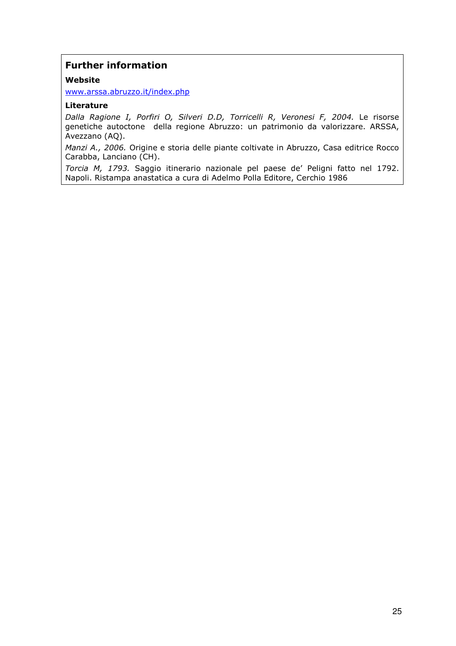#### Further information

#### Website

www.arssa.abruzzo.it/index.php

#### Literature

Dalla Ragione I, Porfiri O, Silveri D.D, Torricelli R, Veronesi F, 2004. Le risorse genetiche autoctone della regione Abruzzo: un patrimonio da valorizzare. ARSSA, Avezzano (AQ).

Manzi A., 2006. Origine e storia delle piante coltivate in Abruzzo, Casa editrice Rocco Carabba, Lanciano (CH).

Torcia M, 1793. Saggio itinerario nazionale pel paese de' Peligni fatto nel 1792. Napoli. Ristampa anastatica a cura di Adelmo Polla Editore, Cerchio 1986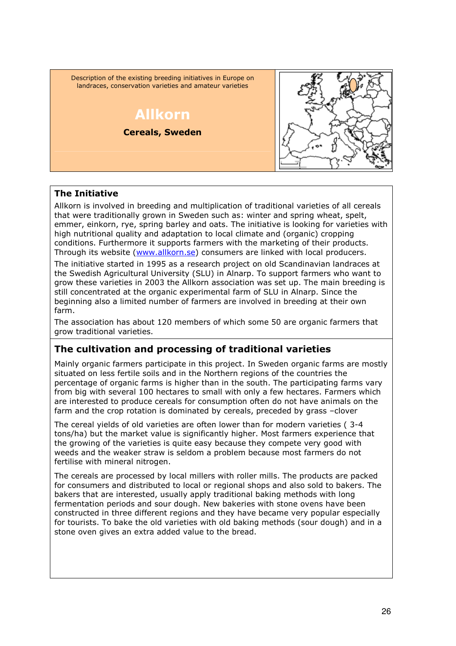Description of the existing breeding initiatives in Europe on landraces, conservation varieties and amateur varieties

## Allkorn Cereals, Sweden



#### The Initiative

Allkorn is involved in breeding and multiplication of traditional varieties of all cereals that were traditionally grown in Sweden such as: winter and spring wheat, spelt, emmer, einkorn, rye, spring barley and oats. The initiative is looking for varieties with high nutritional quality and adaptation to local climate and (organic) cropping conditions. Furthermore it supports farmers with the marketing of their products. Through its website (www.allkorn.se) consumers are linked with local producers.

The initiative started in 1995 as a research project on old Scandinavian landraces at the Swedish Agricultural University (SLU) in Alnarp. To support farmers who want to grow these varieties in 2003 the Allkorn association was set up. The main breeding is still concentrated at the organic experimental farm of SLU in Alnarp. Since the beginning also a limited number of farmers are involved in breeding at their own farm.

The association has about 120 members of which some 50 are organic farmers that grow traditional varieties.

### The cultivation and processing of traditional varieties

Mainly organic farmers participate in this project. In Sweden organic farms are mostly situated on less fertile soils and in the Northern regions of the countries the percentage of organic farms is higher than in the south. The participating farms vary from big with several 100 hectares to small with only a few hectares. Farmers which are interested to produce cereals for consumption often do not have animals on the farm and the crop rotation is dominated by cereals, preceded by grass –clover

The cereal yields of old varieties are often lower than for modern varieties ( 3-4 tons/ha) but the market value is significantly higher. Most farmers experience that the growing of the varieties is quite easy because they compete very good with weeds and the weaker straw is seldom a problem because most farmers do not fertilise with mineral nitrogen.

The cereals are processed by local millers with roller mills. The products are packed for consumers and distributed to local or regional shops and also sold to bakers. The bakers that are interested, usually apply traditional baking methods with long fermentation periods and sour dough. New bakeries with stone ovens have been constructed in three different regions and they have became very popular especially for tourists. To bake the old varieties with old baking methods (sour dough) and in a stone oven gives an extra added value to the bread.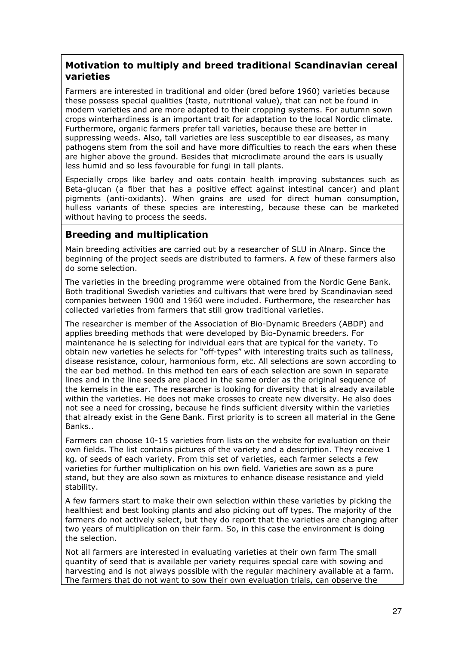#### Motivation to multiply and breed traditional Scandinavian cereal varieties

Farmers are interested in traditional and older (bred before 1960) varieties because these possess special qualities (taste, nutritional value), that can not be found in modern varieties and are more adapted to their cropping systems. For autumn sown crops winterhardiness is an important trait for adaptation to the local Nordic climate. Furthermore, organic farmers prefer tall varieties, because these are better in suppressing weeds. Also, tall varieties are less susceptible to ear diseases, as many pathogens stem from the soil and have more difficulties to reach the ears when these are higher above the ground. Besides that microclimate around the ears is usually less humid and so less favourable for fungi in tall plants.

Especially crops like barley and oats contain health improving substances such as Beta-glucan (a fiber that has a positive effect against intestinal cancer) and plant pigments (anti-oxidants). When grains are used for direct human consumption, hulless variants of these species are interesting, because these can be marketed without having to process the seeds.

#### Breeding and multiplication

Main breeding activities are carried out by a researcher of SLU in Alnarp. Since the beginning of the project seeds are distributed to farmers. A few of these farmers also do some selection.

The varieties in the breeding programme were obtained from the Nordic Gene Bank. Both traditional Swedish varieties and cultivars that were bred by Scandinavian seed companies between 1900 and 1960 were included. Furthermore, the researcher has collected varieties from farmers that still grow traditional varieties.

The researcher is member of the Association of Bio-Dynamic Breeders (ABDP) and applies breeding methods that were developed by Bio-Dynamic breeders. For maintenance he is selecting for individual ears that are typical for the variety. To obtain new varieties he selects for "off-types" with interesting traits such as tallness, disease resistance, colour, harmonious form, etc. All selections are sown according to the ear bed method. In this method ten ears of each selection are sown in separate lines and in the line seeds are placed in the same order as the original sequence of the kernels in the ear. The researcher is looking for diversity that is already available within the varieties. He does not make crosses to create new diversity. He also does not see a need for crossing, because he finds sufficient diversity within the varieties that already exist in the Gene Bank. First priority is to screen all material in the Gene Banks..

Farmers can choose 10-15 varieties from lists on the website for evaluation on their own fields. The list contains pictures of the variety and a description. They receive 1 kg. of seeds of each variety. From this set of varieties, each farmer selects a few varieties for further multiplication on his own field. Varieties are sown as a pure stand, but they are also sown as mixtures to enhance disease resistance and yield stability.

A few farmers start to make their own selection within these varieties by picking the healthiest and best looking plants and also picking out off types. The majority of the farmers do not actively select, but they do report that the varieties are changing after two years of multiplication on their farm. So, in this case the environment is doing the selection.

Not all farmers are interested in evaluating varieties at their own farm The small quantity of seed that is available per variety requires special care with sowing and harvesting and is not always possible with the regular machinery available at a farm. The farmers that do not want to sow their own evaluation trials, can observe the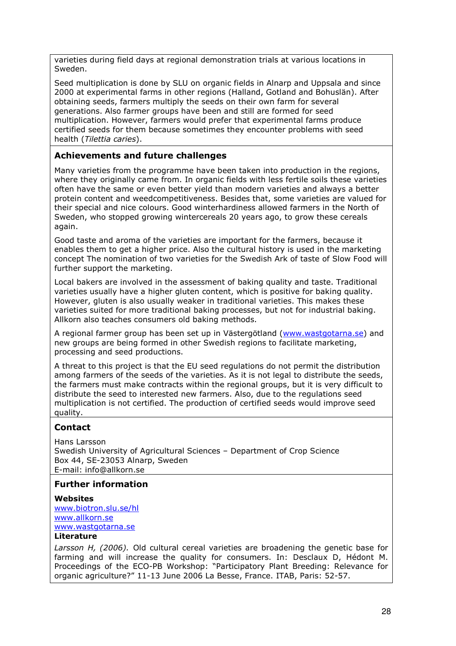varieties during field days at regional demonstration trials at various locations in Sweden.

Seed multiplication is done by SLU on organic fields in Alnarp and Uppsala and since 2000 at experimental farms in other regions (Halland, Gotland and Bohuslän). After obtaining seeds, farmers multiply the seeds on their own farm for several generations. Also farmer groups have been and still are formed for seed multiplication. However, farmers would prefer that experimental farms produce certified seeds for them because sometimes they encounter problems with seed health (Tilettia caries).

#### Achievements and future challenges

Many varieties from the programme have been taken into production in the regions, where they originally came from. In organic fields with less fertile soils these varieties often have the same or even better yield than modern varieties and always a better protein content and weedcompetitiveness. Besides that, some varieties are valued for their special and nice colours. Good winterhardiness allowed farmers in the North of Sweden, who stopped growing wintercereals 20 years ago, to grow these cereals again.

Good taste and aroma of the varieties are important for the farmers, because it enables them to get a higher price. Also the cultural history is used in the marketing concept The nomination of two varieties for the Swedish Ark of taste of Slow Food will further support the marketing.

Local bakers are involved in the assessment of baking quality and taste. Traditional varieties usually have a higher gluten content, which is positive for baking quality. However, gluten is also usually weaker in traditional varieties. This makes these varieties suited for more traditional baking processes, but not for industrial baking. Allkorn also teaches consumers old baking methods.

A regional farmer group has been set up in Västergötland (www.wastgotarna.se) and new groups are being formed in other Swedish regions to facilitate marketing, processing and seed productions.

A threat to this project is that the EU seed regulations do not permit the distribution among farmers of the seeds of the varieties. As it is not legal to distribute the seeds, the farmers must make contracts within the regional groups, but it is very difficult to distribute the seed to interested new farmers. Also, due to the regulations seed multiplication is not certified. The production of certified seeds would improve seed quality.

#### **Contact**

Hans Larsson Swedish University of Agricultural Sciences – Department of Crop Science Box 44, SE-23053 Alnarp, Sweden E-mail: info@allkorn.se

#### Further information

**Websites** www.biotron.slu.se/hl www.allkorn.se www.wastgotarna.se Literature

Larsson H, (2006). Old cultural cereal varieties are broadening the genetic base for farming and will increase the quality for consumers. In: Desclaux D, Hédont M. Proceedings of the ECO-PB Workshop: "Participatory Plant Breeding: Relevance for organic agriculture?" 11-13 June 2006 La Besse, France. ITAB, Paris: 52-57.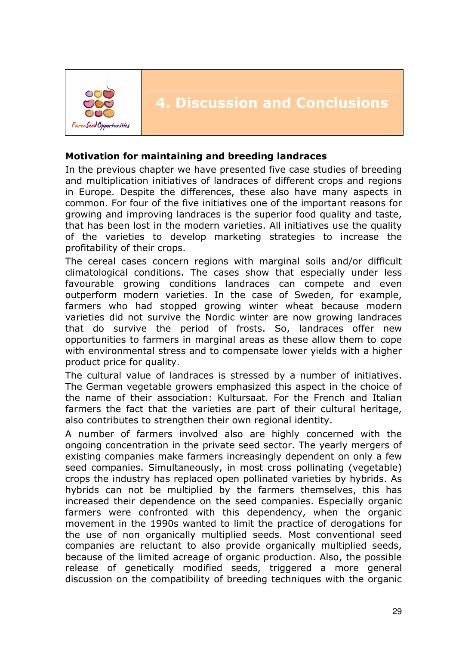

## 4. Discussion and Conclusions

#### Motivation for maintaining and breeding landraces

In the previous chapter we have presented five case studies of breeding and multiplication initiatives of landraces of different crops and regions in Europe. Despite the differences, these also have many aspects in common. For four of the five initiatives one of the important reasons for growing and improving landraces is the superior food quality and taste, that has been lost in the modern varieties. All initiatives use the quality of the varieties to develop marketing strategies to increase the profitability of their crops.

The cereal cases concern regions with marginal soils and/or difficult climatological conditions. The cases show that especially under less favourable growing conditions landraces can compete and even outperform modern varieties. In the case of Sweden, for example, farmers who had stopped growing winter wheat because modern varieties did not survive the Nordic winter are now growing landraces that do survive the period of frosts. So, landraces offer new opportunities to farmers in marginal areas as these allow them to cope with environmental stress and to compensate lower yields with a higher product price for quality.

The cultural value of landraces is stressed by a number of initiatives. The German vegetable growers emphasized this aspect in the choice of the name of their association: Kultursaat. For the French and Italian farmers the fact that the varieties are part of their cultural heritage, also contributes to strengthen their own regional identity.

A number of farmers involved also are highly concerned with the ongoing concentration in the private seed sector. The yearly mergers of existing companies make farmers increasingly dependent on only a few seed companies. Simultaneously, in most cross pollinating (vegetable) crops the industry has replaced open pollinated varieties by hybrids. As hybrids can not be multiplied by the farmers themselves, this has increased their dependence on the seed companies. Especially organic farmers were confronted with this dependency, when the organic movement in the 1990s wanted to limit the practice of derogations for the use of non organically multiplied seeds. Most conventional seed companies are reluctant to also provide organically multiplied seeds, because of the limited acreage of organic production. Also, the possible release of genetically modified seeds, triggered a more general discussion on the compatibility of breeding techniques with the organic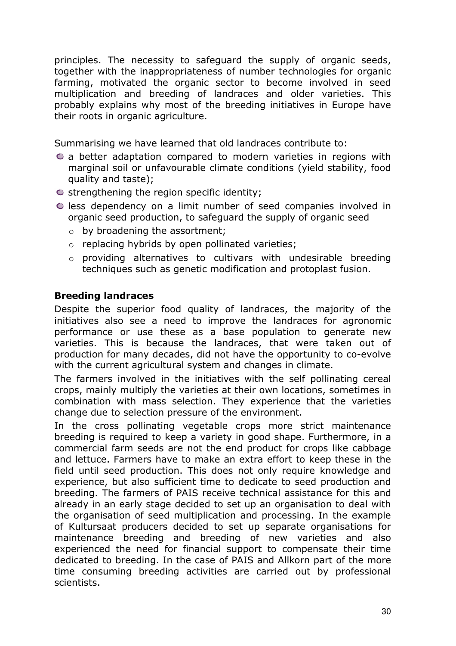principles. The necessity to safeguard the supply of organic seeds, together with the inappropriateness of number technologies for organic farming, motivated the organic sector to become involved in seed multiplication and breeding of landraces and older varieties. This probably explains why most of the breeding initiatives in Europe have their roots in organic agriculture.

Summarising we have learned that old landraces contribute to:

- a better adaptation compared to modern varieties in regions with marginal soil or unfavourable climate conditions (yield stability, food quality and taste);
- $\circ$  strengthening the region specific identity;
- $\bullet$  less dependency on a limit number of seed companies involved in organic seed production, to safeguard the supply of organic seed
	- o by broadening the assortment;
	- o replacing hybrids by open pollinated varieties;
	- o providing alternatives to cultivars with undesirable breeding techniques such as genetic modification and protoplast fusion.

### Breeding landraces

Despite the superior food quality of landraces, the majority of the initiatives also see a need to improve the landraces for agronomic performance or use these as a base population to generate new varieties. This is because the landraces, that were taken out of production for many decades, did not have the opportunity to co-evolve with the current agricultural system and changes in climate.

The farmers involved in the initiatives with the self pollinating cereal crops, mainly multiply the varieties at their own locations, sometimes in combination with mass selection. They experience that the varieties change due to selection pressure of the environment.

In the cross pollinating vegetable crops more strict maintenance breeding is required to keep a variety in good shape. Furthermore, in a commercial farm seeds are not the end product for crops like cabbage and lettuce. Farmers have to make an extra effort to keep these in the field until seed production. This does not only require knowledge and experience, but also sufficient time to dedicate to seed production and breeding. The farmers of PAIS receive technical assistance for this and already in an early stage decided to set up an organisation to deal with the organisation of seed multiplication and processing. In the example of Kultursaat producers decided to set up separate organisations for maintenance breeding and breeding of new varieties and also experienced the need for financial support to compensate their time dedicated to breeding. In the case of PAIS and Allkorn part of the more time consuming breeding activities are carried out by professional scientists.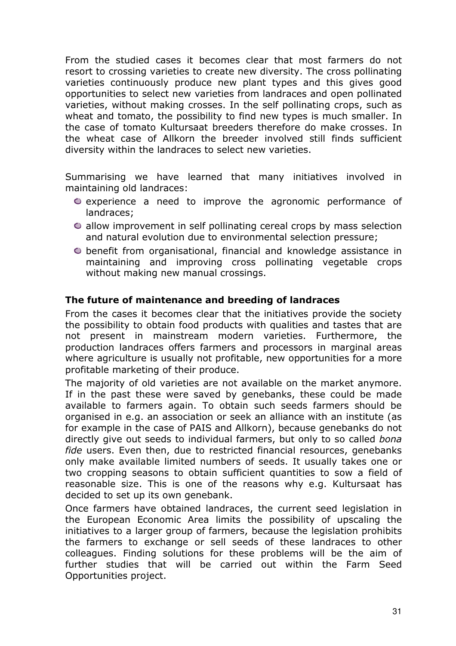From the studied cases it becomes clear that most farmers do not resort to crossing varieties to create new diversity. The cross pollinating varieties continuously produce new plant types and this gives good opportunities to select new varieties from landraces and open pollinated varieties, without making crosses. In the self pollinating crops, such as wheat and tomato, the possibility to find new types is much smaller. In the case of tomato Kultursaat breeders therefore do make crosses. In the wheat case of Allkorn the breeder involved still finds sufficient diversity within the landraces to select new varieties.

Summarising we have learned that many initiatives involved in maintaining old landraces:

- $\bullet$  experience a need to improve the agronomic performance of landraces;
- $\bullet$  allow improvement in self pollinating cereal crops by mass selection and natural evolution due to environmental selection pressure;
- benefit from organisational, financial and knowledge assistance in maintaining and improving cross pollinating vegetable crops without making new manual crossings.

#### The future of maintenance and breeding of landraces

From the cases it becomes clear that the initiatives provide the society the possibility to obtain food products with qualities and tastes that are not present in mainstream modern varieties. Furthermore, the production landraces offers farmers and processors in marginal areas where agriculture is usually not profitable, new opportunities for a more profitable marketing of their produce.

The majority of old varieties are not available on the market anymore. If in the past these were saved by genebanks, these could be made available to farmers again. To obtain such seeds farmers should be organised in e.g. an association or seek an alliance with an institute (as for example in the case of PAIS and Allkorn), because genebanks do not directly give out seeds to individual farmers, but only to so called bona fide users. Even then, due to restricted financial resources, genebanks only make available limited numbers of seeds. It usually takes one or two cropping seasons to obtain sufficient quantities to sow a field of reasonable size. This is one of the reasons why e.g. Kultursaat has decided to set up its own genebank.

Once farmers have obtained landraces, the current seed legislation in the European Economic Area limits the possibility of upscaling the initiatives to a larger group of farmers, because the legislation prohibits the farmers to exchange or sell seeds of these landraces to other colleagues. Finding solutions for these problems will be the aim of further studies that will be carried out within the Farm Seed Opportunities project.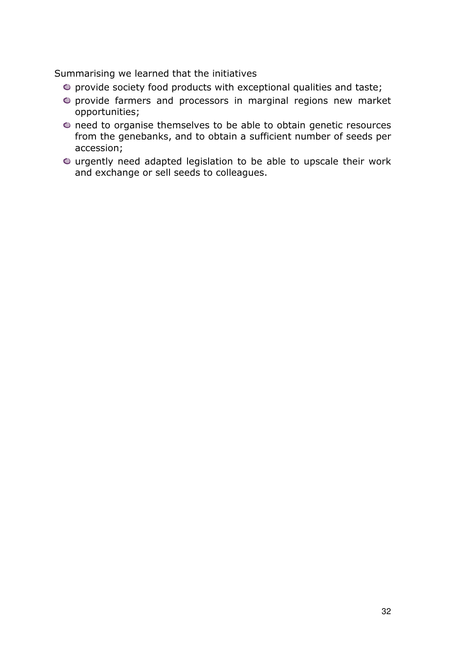Summarising we learned that the initiatives

- $\bullet$  provide society food products with exceptional qualities and taste;
- provide farmers and processors in marginal regions new market opportunities;
- need to organise themselves to be able to obtain genetic resources from the genebanks, and to obtain a sufficient number of seeds per accession;
- urgently need adapted legislation to be able to upscale their work and exchange or sell seeds to colleagues.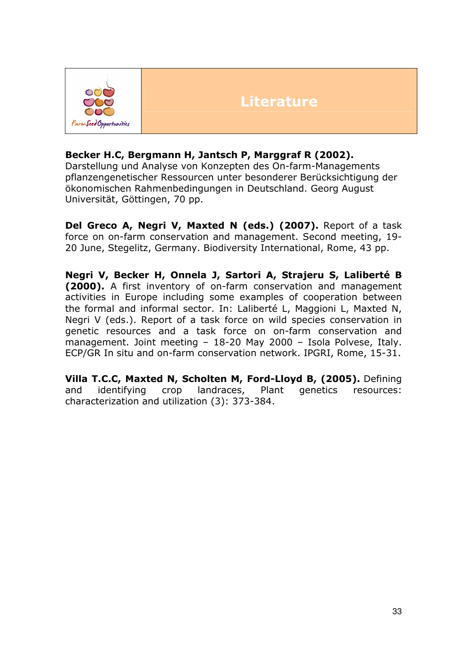

## **Literature**

#### Becker H.C, Bergmann H, Jantsch P, Marggraf R (2002).

Darstellung und Analyse von Konzepten des On-farm-Managements pflanzengenetischer Ressourcen unter besonderer Berücksichtigung der ökonomischen Rahmenbedingungen in Deutschland. Georg August Universität, Göttingen, 70 pp.

Del Greco A, Negri V, Maxted N (eds.) (2007). Report of a task force on on-farm conservation and management. Second meeting, 19- 20 June, Stegelitz, Germany. Biodiversity International, Rome, 43 pp.

Negri V, Becker H, Onnela J, Sartori A, Strajeru S, Laliberté B (2000). A first inventory of on-farm conservation and management activities in Europe including some examples of cooperation between the formal and informal sector. In: Laliberté L, Maggioni L, Maxted N, Negri V (eds.). Report of a task force on wild species conservation in genetic resources and a task force on on-farm conservation and management. Joint meeting – 18-20 May 2000 – Isola Polvese, Italy. ECP/GR In situ and on-farm conservation network. IPGRI, Rome, 15-31.

Villa T.C.C, Maxted N, Scholten M, Ford-Lloyd B, (2005). Defining and identifying crop landraces, Plant genetics resources: characterization and utilization (3): 373-384.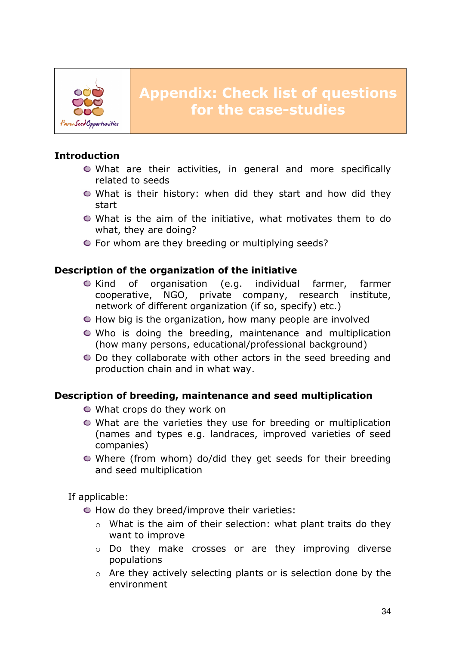

## Introduction

- What are their activities, in general and more specifically related to seeds
- What is their history: when did they start and how did they start
- What is the aim of the initiative, what motivates them to do what, they are doing?
- $\bullet$  For whom are they breeding or multiplying seeds?

#### Description of the organization of the initiative

- Kind of organisation (e.g. individual farmer, farmer cooperative, NGO, private company, research institute, network of different organization (if so, specify) etc.)
- $\bullet$  How big is the organization, how many people are involved
- Who is doing the breeding, maintenance and multiplication (how many persons, educational/professional background)
- Do they collaborate with other actors in the seed breeding and production chain and in what way.

### Description of breeding, maintenance and seed multiplication

- What crops do they work on
- What are the varieties they use for breeding or multiplication (names and types e.g. landraces, improved varieties of seed companies)
- Where (from whom) do/did they get seeds for their breeding and seed multiplication

If applicable:

- $\bullet$  How do they breed/improve their varieties:
	- o What is the aim of their selection: what plant traits do they want to improve
	- o Do they make crosses or are they improving diverse populations
	- o Are they actively selecting plants or is selection done by the environment